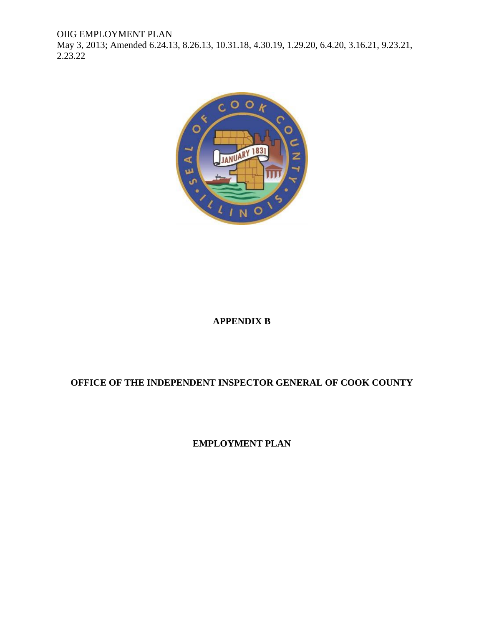May 3, 2013; Amended 6.24.13, 8.26.13, 10.31.18, 4.30.19, 1.29.20, 6.4.20, 3.16.21, 9.23.21, 2.23.22



# **APPENDIX B**

# **OFFICE OF THE INDEPENDENT INSPECTOR GENERAL OF COOK COUNTY**

**EMPLOYMENT PLAN**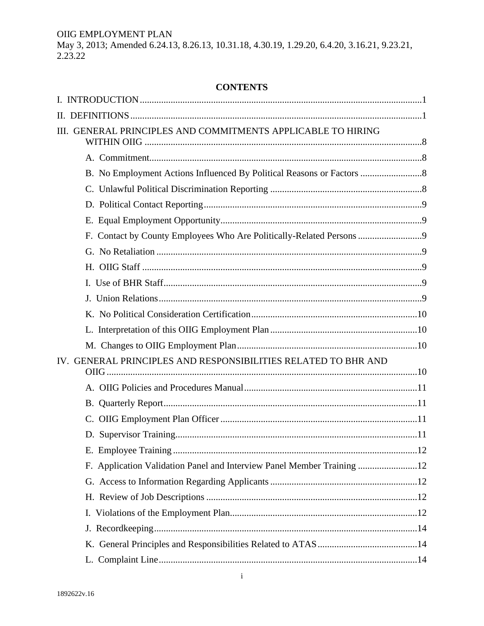May 3, 2013; Amended 6.24.13, 8.26.13, 10.31.18, 4.30.19, 1.29.20, 6.4.20, 3.16.21, 9.23.21,  $2.23.22$ 

# **CONTENTS**

| III. GENERAL PRINCIPLES AND COMMITMENTS APPLICABLE TO HIRING           |
|------------------------------------------------------------------------|
|                                                                        |
|                                                                        |
|                                                                        |
|                                                                        |
|                                                                        |
|                                                                        |
|                                                                        |
|                                                                        |
|                                                                        |
|                                                                        |
|                                                                        |
|                                                                        |
|                                                                        |
| IV. GENERAL PRINCIPLES AND RESPONSIBILITIES RELATED TO BHR AND         |
|                                                                        |
|                                                                        |
|                                                                        |
|                                                                        |
|                                                                        |
| F. Application Validation Panel and Interview Panel Member Training 12 |
|                                                                        |
|                                                                        |
|                                                                        |
|                                                                        |
|                                                                        |
|                                                                        |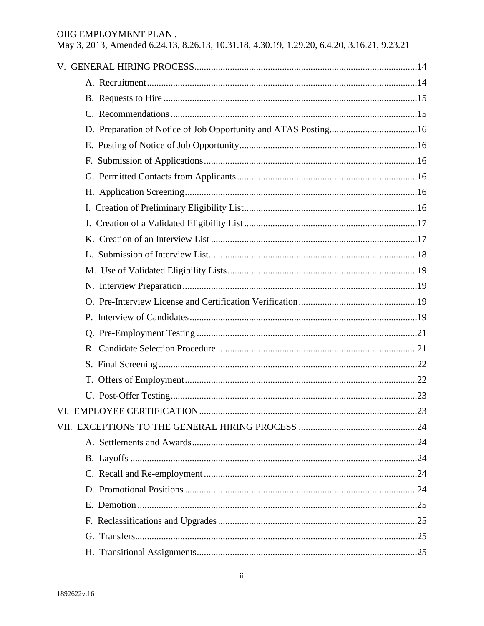| May 3, 2013, Amended 6.24.13, 8.26.13, 10.31.18, 4.30.19, 1.29.20, 6.4.20, 3.16.21, 9.23.21 |  |  |  |
|---------------------------------------------------------------------------------------------|--|--|--|
|---------------------------------------------------------------------------------------------|--|--|--|

| VI. EMPLOYEE CERTIFICATION | 23 |
|----------------------------|----|
|                            |    |
|                            |    |
|                            |    |
|                            |    |
|                            |    |
|                            |    |
|                            |    |
|                            |    |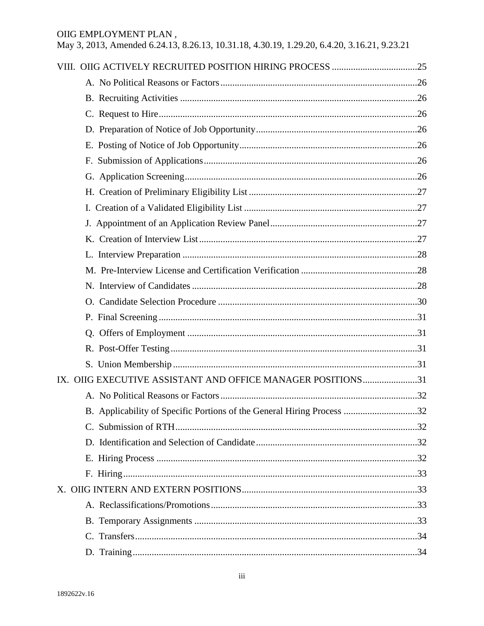| IX. OIIG EXECUTIVE ASSISTANT AND OFFICE MANAGER POSITIONS31            |  |
|------------------------------------------------------------------------|--|
|                                                                        |  |
| B. Applicability of Specific Portions of the General Hiring Process 32 |  |
|                                                                        |  |
|                                                                        |  |
|                                                                        |  |
|                                                                        |  |
|                                                                        |  |
|                                                                        |  |
|                                                                        |  |
|                                                                        |  |
|                                                                        |  |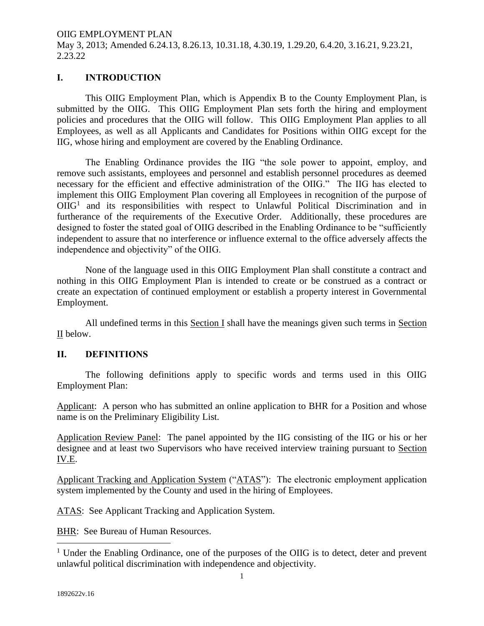#### **I. INTRODUCTION**

This OIIG Employment Plan, which is Appendix B to the County Employment Plan, is submitted by the OIIG. This OIIG Employment Plan sets forth the hiring and employment policies and procedures that the OIIG will follow. This OIIG Employment Plan applies to all Employees, as well as all Applicants and Candidates for Positions within OIIG except for the IIG, whose hiring and employment are covered by the Enabling Ordinance.

The Enabling Ordinance provides the IIG "the sole power to appoint, employ, and remove such assistants, employees and personnel and establish personnel procedures as deemed necessary for the efficient and effective administration of the OIIG." The IIG has elected to implement this OIIG Employment Plan covering all Employees in recognition of the purpose of  $OIIG<sup>1</sup>$  and its responsibilities with respect to Unlawful Political Discrimination and in furtherance of the requirements of the Executive Order. Additionally, these procedures are designed to foster the stated goal of OIIG described in the Enabling Ordinance to be "sufficiently independent to assure that no interference or influence external to the office adversely affects the independence and objectivity" of the OIIG.

None of the language used in this OIIG Employment Plan shall constitute a contract and nothing in this OIIG Employment Plan is intended to create or be construed as a contract or create an expectation of continued employment or establish a property interest in Governmental Employment.

All undefined terms in this Section I shall have the meanings given such terms in Section II below.

#### **II. DEFINITIONS**

The following definitions apply to specific words and terms used in this OIIG Employment Plan:

Applicant: A person who has submitted an online application to BHR for a Position and whose name is on the Preliminary Eligibility List.

Application Review Panel: The panel appointed by the IIG consisting of the IIG or his or her designee and at least two Supervisors who have received interview training pursuant to Section IV.E.

Applicant Tracking and Application System ("ATAS"): The electronic employment application system implemented by the County and used in the hiring of Employees.

ATAS: See Applicant Tracking and Application System.

BHR: See Bureau of Human Resources.

<sup>1</sup> Under the Enabling Ordinance, one of the purposes of the OIIG is to detect, deter and prevent unlawful political discrimination with independence and objectivity.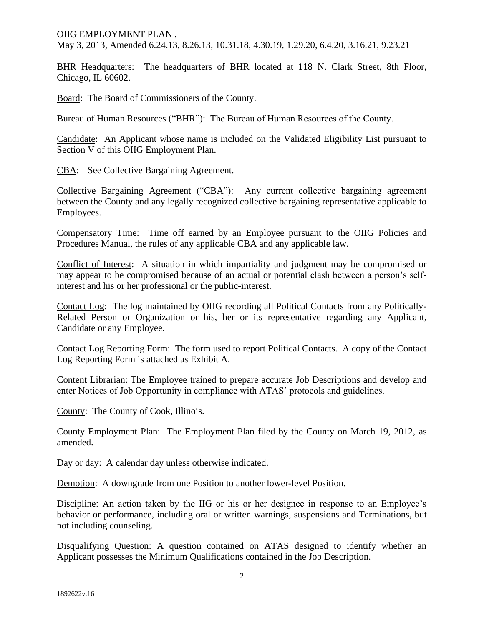May 3, 2013, Amended 6.24.13, 8.26.13, 10.31.18, 4.30.19, 1.29.20, 6.4.20, 3.16.21, 9.23.21

BHR Headquarters: The headquarters of BHR located at 118 N. Clark Street, 8th Floor, Chicago, IL 60602.

Board: The Board of Commissioners of the County.

Bureau of Human Resources ("BHR"): The Bureau of Human Resources of the County.

Candidate: An Applicant whose name is included on the Validated Eligibility List pursuant to Section V of this OIIG Employment Plan.

CBA: See Collective Bargaining Agreement.

Collective Bargaining Agreement ("CBA"): Any current collective bargaining agreement between the County and any legally recognized collective bargaining representative applicable to Employees.

Compensatory Time: Time off earned by an Employee pursuant to the OIIG Policies and Procedures Manual, the rules of any applicable CBA and any applicable law.

Conflict of Interest: A situation in which impartiality and judgment may be compromised or may appear to be compromised because of an actual or potential clash between a person's selfinterest and his or her professional or the public-interest.

Contact Log: The log maintained by OIIG recording all Political Contacts from any Politically-Related Person or Organization or his, her or its representative regarding any Applicant, Candidate or any Employee.

Contact Log Reporting Form: The form used to report Political Contacts. A copy of the Contact Log Reporting Form is attached as Exhibit A.

Content Librarian: The Employee trained to prepare accurate Job Descriptions and develop and enter Notices of Job Opportunity in compliance with ATAS' protocols and guidelines.

County: The County of Cook, Illinois.

County Employment Plan: The Employment Plan filed by the County on March 19, 2012, as amended.

Day or <u>day</u>: A calendar day unless otherwise indicated.

Demotion: A downgrade from one Position to another lower-level Position.

Discipline: An action taken by the IIG or his or her designee in response to an Employee's behavior or performance, including oral or written warnings, suspensions and Terminations, but not including counseling.

Disqualifying Question: A question contained on ATAS designed to identify whether an Applicant possesses the Minimum Qualifications contained in the Job Description.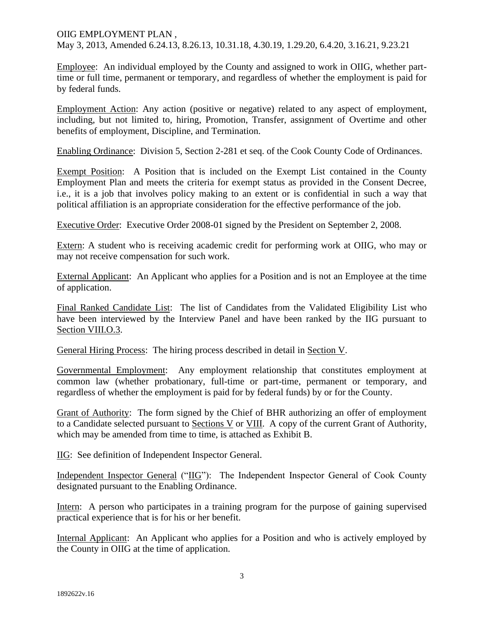Employee: An individual employed by the County and assigned to work in OIIG, whether parttime or full time, permanent or temporary, and regardless of whether the employment is paid for by federal funds.

Employment Action: Any action (positive or negative) related to any aspect of employment, including, but not limited to, hiring, Promotion, Transfer, assignment of Overtime and other benefits of employment, Discipline, and Termination.

Enabling Ordinance: Division 5, Section 2-281 et seq. of the Cook County Code of Ordinances.

Exempt Position: A Position that is included on the Exempt List contained in the County Employment Plan and meets the criteria for exempt status as provided in the Consent Decree, i.e., it is a job that involves policy making to an extent or is confidential in such a way that political affiliation is an appropriate consideration for the effective performance of the job.

Executive Order: Executive Order 2008-01 signed by the President on September 2, 2008.

Extern: A student who is receiving academic credit for performing work at OIIG, who may or may not receive compensation for such work.

External Applicant: An Applicant who applies for a Position and is not an Employee at the time of application.

Final Ranked Candidate List: The list of Candidates from the Validated Eligibility List who have been interviewed by the Interview Panel and have been ranked by the IIG pursuant to Section VIII.O.3.

General Hiring Process: The hiring process described in detail in Section V.

Governmental Employment: Any employment relationship that constitutes employment at common law (whether probationary, full-time or part-time, permanent or temporary, and regardless of whether the employment is paid for by federal funds) by or for the County.

Grant of Authority: The form signed by the Chief of BHR authorizing an offer of employment to a Candidate selected pursuant to Sections V or VIII. A copy of the current Grant of Authority, which may be amended from time to time, is attached as Exhibit B.

IIG: See definition of Independent Inspector General.

Independent Inspector General ("IIG"): The Independent Inspector General of Cook County designated pursuant to the Enabling Ordinance.

Intern: A person who participates in a training program for the purpose of gaining supervised practical experience that is for his or her benefit.

Internal Applicant: An Applicant who applies for a Position and who is actively employed by the County in OIIG at the time of application.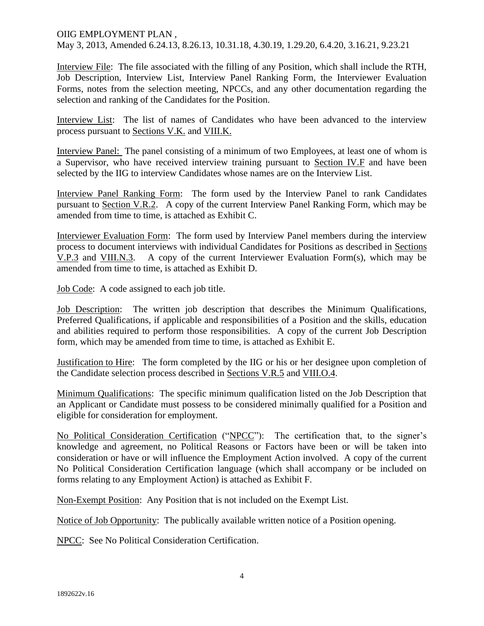Interview File: The file associated with the filling of any Position, which shall include the RTH, Job Description, Interview List, Interview Panel Ranking Form, the Interviewer Evaluation Forms, notes from the selection meeting, NPCCs, and any other documentation regarding the selection and ranking of the Candidates for the Position.

Interview List: The list of names of Candidates who have been advanced to the interview process pursuant to Sections V.K. and VIII.K.

Interview Panel: The panel consisting of a minimum of two Employees, at least one of whom is a Supervisor, who have received interview training pursuant to Section IV.F and have been selected by the IIG to interview Candidates whose names are on the Interview List.

Interview Panel Ranking Form: The form used by the Interview Panel to rank Candidates pursuant to Section V.R.2. A copy of the current Interview Panel Ranking Form, which may be amended from time to time, is attached as Exhibit C.

Interviewer Evaluation Form: The form used by Interview Panel members during the interview process to document interviews with individual Candidates for Positions as described in Sections V.P.3 and VIII.N.3. A copy of the current Interviewer Evaluation Form(s), which may be amended from time to time, is attached as Exhibit D.

Job Code: A code assigned to each job title.

Job Description: The written job description that describes the Minimum Qualifications, Preferred Qualifications, if applicable and responsibilities of a Position and the skills, education and abilities required to perform those responsibilities. A copy of the current Job Description form, which may be amended from time to time, is attached as Exhibit E.

Justification to Hire: The form completed by the IIG or his or her designee upon completion of the Candidate selection process described in Sections V.R.5 and VIII.O.4.

Minimum Qualifications: The specific minimum qualification listed on the Job Description that an Applicant or Candidate must possess to be considered minimally qualified for a Position and eligible for consideration for employment.

No Political Consideration Certification ("NPCC"): The certification that, to the signer's knowledge and agreement, no Political Reasons or Factors have been or will be taken into consideration or have or will influence the Employment Action involved. A copy of the current No Political Consideration Certification language (which shall accompany or be included on forms relating to any Employment Action) is attached as Exhibit F.

Non-Exempt Position: Any Position that is not included on the Exempt List.

Notice of Job Opportunity: The publically available written notice of a Position opening.

NPCC: See No Political Consideration Certification.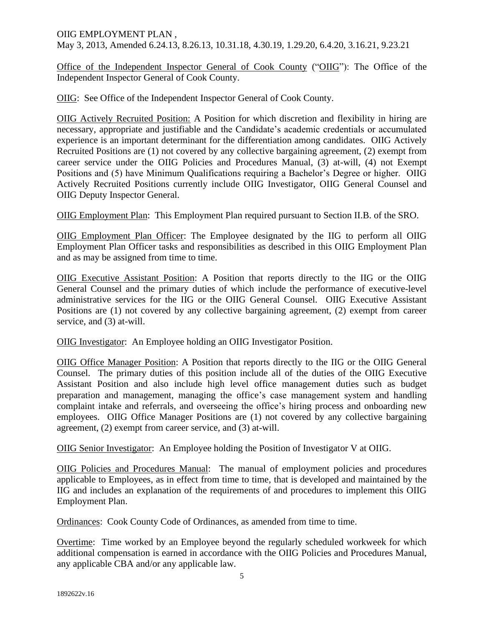Office of the Independent Inspector General of Cook County ("OIIG"): The Office of the Independent Inspector General of Cook County.

OIIG: See Office of the Independent Inspector General of Cook County.

OIIG Actively Recruited Position: A Position for which discretion and flexibility in hiring are necessary, appropriate and justifiable and the Candidate's academic credentials or accumulated experience is an important determinant for the differentiation among candidates. OIIG Actively Recruited Positions are (1) not covered by any collective bargaining agreement, (2) exempt from career service under the OIIG Policies and Procedures Manual, (3) at-will, (4) not Exempt Positions and (5) have Minimum Qualifications requiring a Bachelor's Degree or higher. OIIG Actively Recruited Positions currently include OIIG Investigator, OIIG General Counsel and OIIG Deputy Inspector General.

OIIG Employment Plan: This Employment Plan required pursuant to Section II.B. of the SRO.

OIIG Employment Plan Officer: The Employee designated by the IIG to perform all OIIG Employment Plan Officer tasks and responsibilities as described in this OIIG Employment Plan and as may be assigned from time to time.

OIIG Executive Assistant Position: A Position that reports directly to the IIG or the OIIG General Counsel and the primary duties of which include the performance of executive-level administrative services for the IIG or the OIIG General Counsel. OIIG Executive Assistant Positions are (1) not covered by any collective bargaining agreement, (2) exempt from career service, and (3) at-will.

OIIG Investigator: An Employee holding an OIIG Investigator Position.

OIIG Office Manager Position: A Position that reports directly to the IIG or the OIIG General Counsel. The primary duties of this position include all of the duties of the OIIG Executive Assistant Position and also include high level office management duties such as budget preparation and management, managing the office's case management system and handling complaint intake and referrals, and overseeing the office's hiring process and onboarding new employees. OIIG Office Manager Positions are (1) not covered by any collective bargaining agreement, (2) exempt from career service, and (3) at-will.

OIIG Senior Investigator: An Employee holding the Position of Investigator V at OIIG.

OIIG Policies and Procedures Manual: The manual of employment policies and procedures applicable to Employees, as in effect from time to time, that is developed and maintained by the IIG and includes an explanation of the requirements of and procedures to implement this OIIG Employment Plan.

Ordinances: Cook County Code of Ordinances, as amended from time to time.

Overtime: Time worked by an Employee beyond the regularly scheduled workweek for which additional compensation is earned in accordance with the OIIG Policies and Procedures Manual, any applicable CBA and/or any applicable law.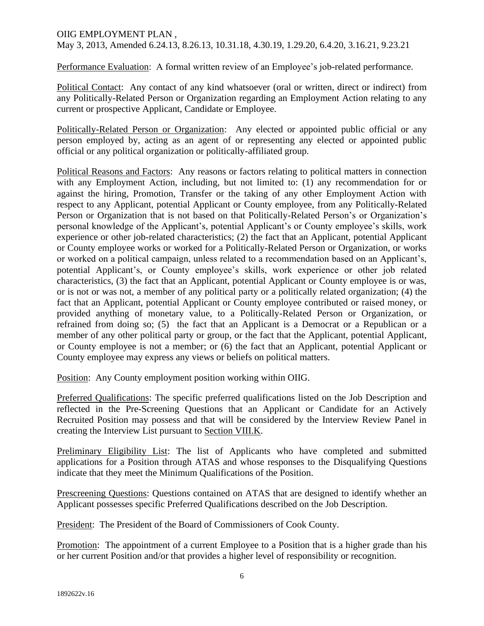May 3, 2013, Amended 6.24.13, 8.26.13, 10.31.18, 4.30.19, 1.29.20, 6.4.20, 3.16.21, 9.23.21

Performance Evaluation: A formal written review of an Employee's job-related performance.

Political Contact: Any contact of any kind whatsoever (oral or written, direct or indirect) from any Politically-Related Person or Organization regarding an Employment Action relating to any current or prospective Applicant, Candidate or Employee.

Politically-Related Person or Organization: Any elected or appointed public official or any person employed by, acting as an agent of or representing any elected or appointed public official or any political organization or politically-affiliated group.

Political Reasons and Factors: Any reasons or factors relating to political matters in connection with any Employment Action, including, but not limited to: (1) any recommendation for or against the hiring, Promotion, Transfer or the taking of any other Employment Action with respect to any Applicant, potential Applicant or County employee, from any Politically-Related Person or Organization that is not based on that Politically-Related Person's or Organization's personal knowledge of the Applicant's, potential Applicant's or County employee's skills, work experience or other job-related characteristics; (2) the fact that an Applicant, potential Applicant or County employee works or worked for a Politically-Related Person or Organization, or works or worked on a political campaign, unless related to a recommendation based on an Applicant's, potential Applicant's, or County employee's skills, work experience or other job related characteristics, (3) the fact that an Applicant, potential Applicant or County employee is or was, or is not or was not, a member of any political party or a politically related organization; (4) the fact that an Applicant, potential Applicant or County employee contributed or raised money, or provided anything of monetary value, to a Politically-Related Person or Organization, or refrained from doing so; (5) the fact that an Applicant is a Democrat or a Republican or a member of any other political party or group, or the fact that the Applicant, potential Applicant, or County employee is not a member; or (6) the fact that an Applicant, potential Applicant or County employee may express any views or beliefs on political matters.

Position: Any County employment position working within OIIG.

Preferred Qualifications: The specific preferred qualifications listed on the Job Description and reflected in the Pre-Screening Questions that an Applicant or Candidate for an Actively Recruited Position may possess and that will be considered by the Interview Review Panel in creating the Interview List pursuant to Section VIII.K.

Preliminary Eligibility List: The list of Applicants who have completed and submitted applications for a Position through ATAS and whose responses to the Disqualifying Questions indicate that they meet the Minimum Qualifications of the Position.

Prescreening Questions: Questions contained on ATAS that are designed to identify whether an Applicant possesses specific Preferred Qualifications described on the Job Description.

President: The President of the Board of Commissioners of Cook County.

Promotion: The appointment of a current Employee to a Position that is a higher grade than his or her current Position and/or that provides a higher level of responsibility or recognition.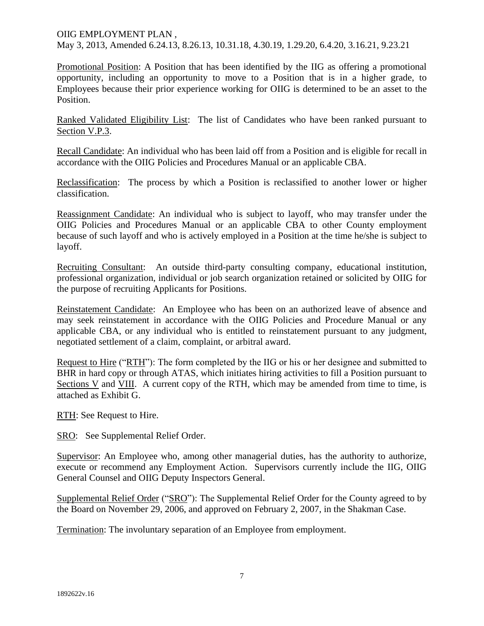May 3, 2013, Amended 6.24.13, 8.26.13, 10.31.18, 4.30.19, 1.29.20, 6.4.20, 3.16.21, 9.23.21

Promotional Position: A Position that has been identified by the IIG as offering a promotional opportunity, including an opportunity to move to a Position that is in a higher grade, to Employees because their prior experience working for OIIG is determined to be an asset to the Position.

Ranked Validated Eligibility List: The list of Candidates who have been ranked pursuant to Section V.P.3.

Recall Candidate: An individual who has been laid off from a Position and is eligible for recall in accordance with the OIIG Policies and Procedures Manual or an applicable CBA.

Reclassification: The process by which a Position is reclassified to another lower or higher classification.

Reassignment Candidate: An individual who is subject to layoff, who may transfer under the OIIG Policies and Procedures Manual or an applicable CBA to other County employment because of such layoff and who is actively employed in a Position at the time he/she is subject to layoff.

Recruiting Consultant: An outside third-party consulting company, educational institution, professional organization, individual or job search organization retained or solicited by OIIG for the purpose of recruiting Applicants for Positions.

Reinstatement Candidate: An Employee who has been on an authorized leave of absence and may seek reinstatement in accordance with the OIIG Policies and Procedure Manual or any applicable CBA, or any individual who is entitled to reinstatement pursuant to any judgment, negotiated settlement of a claim, complaint, or arbitral award.

Request to Hire ("RTH"): The form completed by the IIG or his or her designee and submitted to BHR in hard copy or through ATAS, which initiates hiring activities to fill a Position pursuant to Sections V and VIII. A current copy of the RTH, which may be amended from time to time, is attached as Exhibit G.

RTH: See Request to Hire.

SRO: See Supplemental Relief Order.

Supervisor: An Employee who, among other managerial duties, has the authority to authorize, execute or recommend any Employment Action. Supervisors currently include the IIG, OIIG General Counsel and OIIG Deputy Inspectors General.

Supplemental Relief Order ("SRO"): The Supplemental Relief Order for the County agreed to by the Board on November 29, 2006, and approved on February 2, 2007, in the Shakman Case.

Termination: The involuntary separation of an Employee from employment.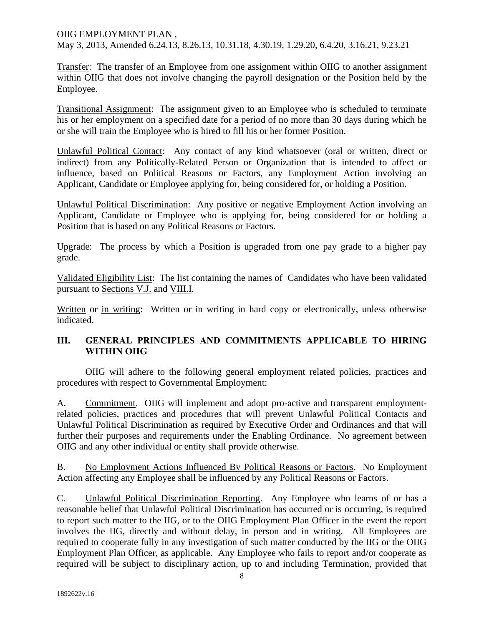Transfer: The transfer of an Employee from one assignment within OIIG to another assignment within OIIG that does not involve changing the payroll designation or the Position held by the Employee.

Transitional Assignment: The assignment given to an Employee who is scheduled to terminate his or her employment on a specified date for a period of no more than 30 days during which he or she will train the Employee who is hired to fill his or her former Position.

Unlawful Political Contact: Any contact of any kind whatsoever (oral or written, direct or indirect) from any Politically-Related Person or Organization that is intended to affect or influence, based on Political Reasons or Factors, any Employment Action involving an Applicant, Candidate or Employee applying for, being considered for, or holding a Position.

Unlawful Political Discrimination: Any positive or negative Employment Action involving an Applicant, Candidate or Employee who is applying for, being considered for or holding a Position that is based on any Political Reasons or Factors.

Upgrade: The process by which a Position is upgraded from one pay grade to a higher pay grade.

Validated Eligibility List: The list containing the names of Candidates who have been validated pursuant to Sections V.J. and VIII.I.

Written or in writing: Written or in writing in hard copy or electronically, unless otherwise indicated.

# **III. GENERAL PRINCIPLES AND COMMITMENTS APPLICABLE TO HIRING WITHIN OIIG**

OIIG will adhere to the following general employment related policies, practices and procedures with respect to Governmental Employment:

A. Commitment. OIIG will implement and adopt pro-active and transparent employmentrelated policies, practices and procedures that will prevent Unlawful Political Contacts and Unlawful Political Discrimination as required by Executive Order and Ordinances and that will further their purposes and requirements under the Enabling Ordinance. No agreement between OIIG and any other individual or entity shall provide otherwise.

B. No Employment Actions Influenced By Political Reasons or Factors. No Employment Action affecting any Employee shall be influenced by any Political Reasons or Factors.

C. Unlawful Political Discrimination Reporting. Any Employee who learns of or has a reasonable belief that Unlawful Political Discrimination has occurred or is occurring, is required to report such matter to the IIG, or to the OIIG Employment Plan Officer in the event the report involves the IIG, directly and without delay, in person and in writing. All Employees are required to cooperate fully in any investigation of such matter conducted by the IIG or the OIIG Employment Plan Officer, as applicable. Any Employee who fails to report and/or cooperate as required will be subject to disciplinary action, up to and including Termination, provided that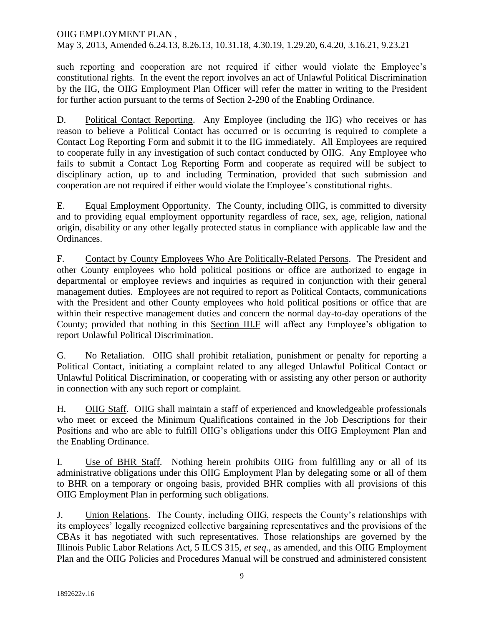such reporting and cooperation are not required if either would violate the Employee's constitutional rights. In the event the report involves an act of Unlawful Political Discrimination by the IIG, the OIIG Employment Plan Officer will refer the matter in writing to the President for further action pursuant to the terms of Section 2-290 of the Enabling Ordinance.

D. Political Contact Reporting. Any Employee (including the IIG) who receives or has reason to believe a Political Contact has occurred or is occurring is required to complete a Contact Log Reporting Form and submit it to the IIG immediately. All Employees are required to cooperate fully in any investigation of such contact conducted by OIIG. Any Employee who fails to submit a Contact Log Reporting Form and cooperate as required will be subject to disciplinary action, up to and including Termination, provided that such submission and cooperation are not required if either would violate the Employee's constitutional rights.

E. Equal Employment Opportunity. The County, including OIIG, is committed to diversity and to providing equal employment opportunity regardless of race, sex, age, religion, national origin, disability or any other legally protected status in compliance with applicable law and the Ordinances.

F. Contact by County Employees Who Are Politically-Related Persons. The President and other County employees who hold political positions or office are authorized to engage in departmental or employee reviews and inquiries as required in conjunction with their general management duties. Employees are not required to report as Political Contacts, communications with the President and other County employees who hold political positions or office that are within their respective management duties and concern the normal day-to-day operations of the County; provided that nothing in this Section III.F will affect any Employee's obligation to report Unlawful Political Discrimination.

G. No Retaliation. OIIG shall prohibit retaliation, punishment or penalty for reporting a Political Contact, initiating a complaint related to any alleged Unlawful Political Contact or Unlawful Political Discrimination, or cooperating with or assisting any other person or authority in connection with any such report or complaint.

H. OIIG Staff. OIIG shall maintain a staff of experienced and knowledgeable professionals who meet or exceed the Minimum Qualifications contained in the Job Descriptions for their Positions and who are able to fulfill OIIG's obligations under this OIIG Employment Plan and the Enabling Ordinance.

I. Use of BHR Staff. Nothing herein prohibits OIIG from fulfilling any or all of its administrative obligations under this OIIG Employment Plan by delegating some or all of them to BHR on a temporary or ongoing basis, provided BHR complies with all provisions of this OIIG Employment Plan in performing such obligations.

J. Union Relations. The County, including OIIG, respects the County's relationships with its employees' legally recognized collective bargaining representatives and the provisions of the CBAs it has negotiated with such representatives. Those relationships are governed by the Illinois Public Labor Relations Act, 5 ILCS 315, *et seq*., as amended, and this OIIG Employment Plan and the OIIG Policies and Procedures Manual will be construed and administered consistent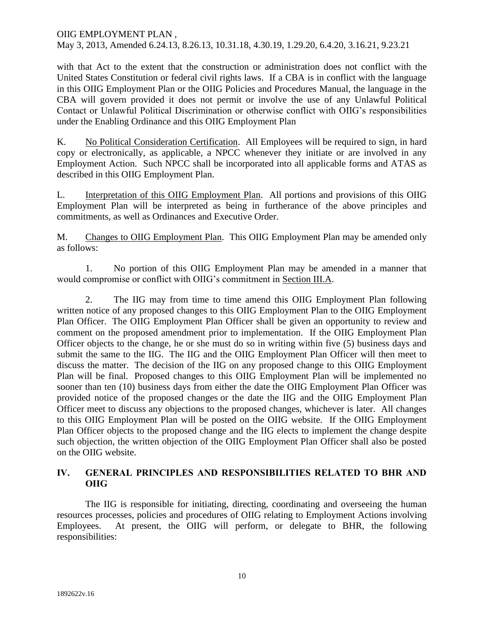with that Act to the extent that the construction or administration does not conflict with the United States Constitution or federal civil rights laws. If a CBA is in conflict with the language in this OIIG Employment Plan or the OIIG Policies and Procedures Manual, the language in the CBA will govern provided it does not permit or involve the use of any Unlawful Political Contact or Unlawful Political Discrimination or otherwise conflict with OIIG's responsibilities under the Enabling Ordinance and this OIIG Employment Plan

K. No Political Consideration Certification. All Employees will be required to sign, in hard copy or electronically, as applicable, a NPCC whenever they initiate or are involved in any Employment Action. Such NPCC shall be incorporated into all applicable forms and ATAS as described in this OIIG Employment Plan.

L. Interpretation of this OIIG Employment Plan. All portions and provisions of this OIIG Employment Plan will be interpreted as being in furtherance of the above principles and commitments, as well as Ordinances and Executive Order.

M. Changes to OIIG Employment Plan. This OIIG Employment Plan may be amended only as follows:

1. No portion of this OIIG Employment Plan may be amended in a manner that would compromise or conflict with OIIG's commitment in Section III.A.

2. The IIG may from time to time amend this OIIG Employment Plan following written notice of any proposed changes to this OIIG Employment Plan to the OIIG Employment Plan Officer. The OIIG Employment Plan Officer shall be given an opportunity to review and comment on the proposed amendment prior to implementation. If the OIIG Employment Plan Officer objects to the change, he or she must do so in writing within five (5) business days and submit the same to the IIG. The IIG and the OIIG Employment Plan Officer will then meet to discuss the matter. The decision of the IIG on any proposed change to this OIIG Employment Plan will be final. Proposed changes to this OIIG Employment Plan will be implemented no sooner than ten (10) business days from either the date the OIIG Employment Plan Officer was provided notice of the proposed changes or the date the IIG and the OIIG Employment Plan Officer meet to discuss any objections to the proposed changes, whichever is later. All changes to this OIIG Employment Plan will be posted on the OIIG website. If the OIIG Employment Plan Officer objects to the proposed change and the IIG elects to implement the change despite such objection, the written objection of the OIIG Employment Plan Officer shall also be posted on the OIIG website.

#### **IV. GENERAL PRINCIPLES AND RESPONSIBILITIES RELATED TO BHR AND OIIG**

The IIG is responsible for initiating, directing, coordinating and overseeing the human resources processes, policies and procedures of OIIG relating to Employment Actions involving Employees. At present, the OIIG will perform, or delegate to BHR, the following responsibilities: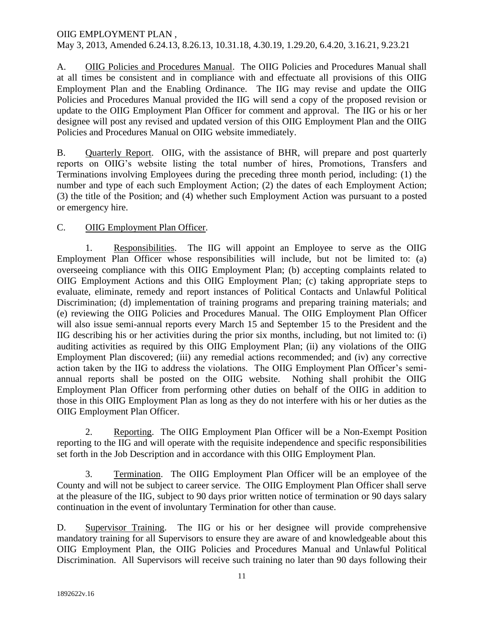May 3, 2013, Amended 6.24.13, 8.26.13, 10.31.18, 4.30.19, 1.29.20, 6.4.20, 3.16.21, 9.23.21

A. OIIG Policies and Procedures Manual. The OIIG Policies and Procedures Manual shall at all times be consistent and in compliance with and effectuate all provisions of this OIIG Employment Plan and the Enabling Ordinance. The IIG may revise and update the OIIG Policies and Procedures Manual provided the IIG will send a copy of the proposed revision or update to the OIIG Employment Plan Officer for comment and approval. The IIG or his or her designee will post any revised and updated version of this OIIG Employment Plan and the OIIG Policies and Procedures Manual on OIIG website immediately.

B. Quarterly Report. OIIG, with the assistance of BHR, will prepare and post quarterly reports on OIIG's website listing the total number of hires, Promotions, Transfers and Terminations involving Employees during the preceding three month period, including: (1) the number and type of each such Employment Action; (2) the dates of each Employment Action; (3) the title of the Position; and (4) whether such Employment Action was pursuant to a posted or emergency hire.

#### C. OIIG Employment Plan Officer.

1. Responsibilities. The IIG will appoint an Employee to serve as the OIIG Employment Plan Officer whose responsibilities will include, but not be limited to: (a) overseeing compliance with this OIIG Employment Plan; (b) accepting complaints related to OIIG Employment Actions and this OIIG Employment Plan; (c) taking appropriate steps to evaluate, eliminate, remedy and report instances of Political Contacts and Unlawful Political Discrimination; (d) implementation of training programs and preparing training materials; and (e) reviewing the OIIG Policies and Procedures Manual. The OIIG Employment Plan Officer will also issue semi-annual reports every March 15 and September 15 to the President and the IIG describing his or her activities during the prior six months, including, but not limited to: (i) auditing activities as required by this OIIG Employment Plan; (ii) any violations of the OIIG Employment Plan discovered; (iii) any remedial actions recommended; and (iv) any corrective action taken by the IIG to address the violations. The OIIG Employment Plan Officer's semiannual reports shall be posted on the OIIG website. Nothing shall prohibit the OIIG Employment Plan Officer from performing other duties on behalf of the OIIG in addition to those in this OIIG Employment Plan as long as they do not interfere with his or her duties as the OIIG Employment Plan Officer.

2. Reporting. The OIIG Employment Plan Officer will be a Non-Exempt Position reporting to the IIG and will operate with the requisite independence and specific responsibilities set forth in the Job Description and in accordance with this OIIG Employment Plan.

3. Termination. The OIIG Employment Plan Officer will be an employee of the County and will not be subject to career service. The OIIG Employment Plan Officer shall serve at the pleasure of the IIG, subject to 90 days prior written notice of termination or 90 days salary continuation in the event of involuntary Termination for other than cause.

D. Supervisor Training. The IIG or his or her designee will provide comprehensive mandatory training for all Supervisors to ensure they are aware of and knowledgeable about this OIIG Employment Plan, the OIIG Policies and Procedures Manual and Unlawful Political Discrimination. All Supervisors will receive such training no later than 90 days following their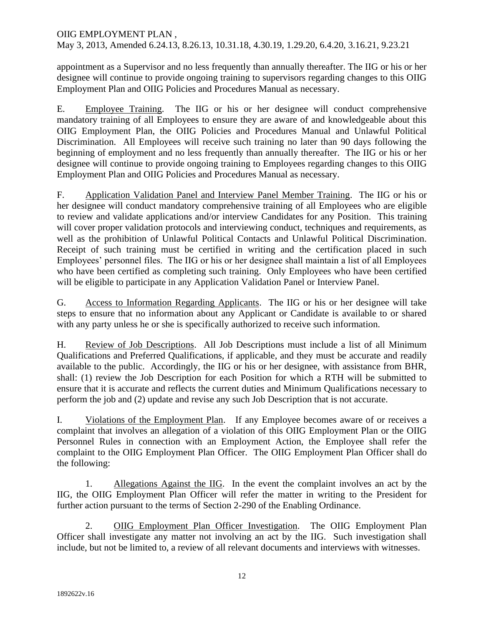appointment as a Supervisor and no less frequently than annually thereafter. The IIG or his or her designee will continue to provide ongoing training to supervisors regarding changes to this OIIG Employment Plan and OIIG Policies and Procedures Manual as necessary.

E. Employee Training. The IIG or his or her designee will conduct comprehensive mandatory training of all Employees to ensure they are aware of and knowledgeable about this OIIG Employment Plan, the OIIG Policies and Procedures Manual and Unlawful Political Discrimination. All Employees will receive such training no later than 90 days following the beginning of employment and no less frequently than annually thereafter. The IIG or his or her designee will continue to provide ongoing training to Employees regarding changes to this OIIG Employment Plan and OIIG Policies and Procedures Manual as necessary.

F. Application Validation Panel and Interview Panel Member Training. The IIG or his or her designee will conduct mandatory comprehensive training of all Employees who are eligible to review and validate applications and/or interview Candidates for any Position. This training will cover proper validation protocols and interviewing conduct, techniques and requirements, as well as the prohibition of Unlawful Political Contacts and Unlawful Political Discrimination. Receipt of such training must be certified in writing and the certification placed in such Employees' personnel files. The IIG or his or her designee shall maintain a list of all Employees who have been certified as completing such training. Only Employees who have been certified will be eligible to participate in any Application Validation Panel or Interview Panel.

G. Access to Information Regarding Applicants. The IIG or his or her designee will take steps to ensure that no information about any Applicant or Candidate is available to or shared with any party unless he or she is specifically authorized to receive such information.

H. Review of Job Descriptions. All Job Descriptions must include a list of all Minimum Qualifications and Preferred Qualifications, if applicable, and they must be accurate and readily available to the public. Accordingly, the IIG or his or her designee, with assistance from BHR, shall: (1) review the Job Description for each Position for which a RTH will be submitted to ensure that it is accurate and reflects the current duties and Minimum Qualifications necessary to perform the job and (2) update and revise any such Job Description that is not accurate.

I. Violations of the Employment Plan. If any Employee becomes aware of or receives a complaint that involves an allegation of a violation of this OIIG Employment Plan or the OIIG Personnel Rules in connection with an Employment Action, the Employee shall refer the complaint to the OIIG Employment Plan Officer. The OIIG Employment Plan Officer shall do the following:

1. Allegations Against the IIG. In the event the complaint involves an act by the IIG, the OIIG Employment Plan Officer will refer the matter in writing to the President for further action pursuant to the terms of Section 2-290 of the Enabling Ordinance.

2. OIIG Employment Plan Officer Investigation. The OIIG Employment Plan Officer shall investigate any matter not involving an act by the IIG. Such investigation shall include, but not be limited to, a review of all relevant documents and interviews with witnesses.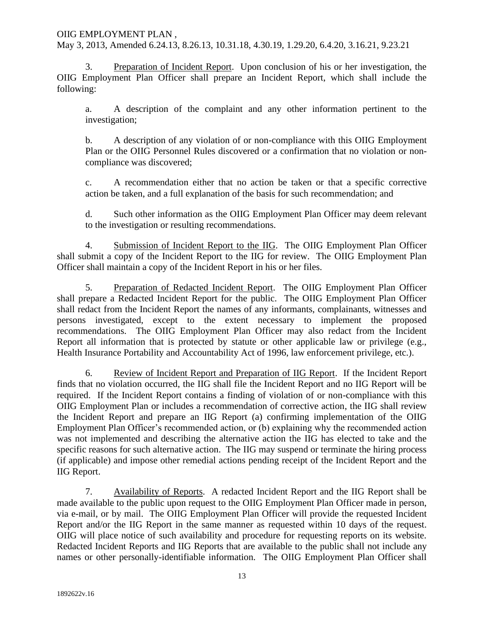May 3, 2013, Amended 6.24.13, 8.26.13, 10.31.18, 4.30.19, 1.29.20, 6.4.20, 3.16.21, 9.23.21

3. Preparation of Incident Report. Upon conclusion of his or her investigation, the OIIG Employment Plan Officer shall prepare an Incident Report, which shall include the following:

a. A description of the complaint and any other information pertinent to the investigation;

b. A description of any violation of or non-compliance with this OIIG Employment Plan or the OIIG Personnel Rules discovered or a confirmation that no violation or noncompliance was discovered;

c. A recommendation either that no action be taken or that a specific corrective action be taken, and a full explanation of the basis for such recommendation; and

d. Such other information as the OIIG Employment Plan Officer may deem relevant to the investigation or resulting recommendations.

4. Submission of Incident Report to the IIG. The OIIG Employment Plan Officer shall submit a copy of the Incident Report to the IIG for review. The OIIG Employment Plan Officer shall maintain a copy of the Incident Report in his or her files.

5. Preparation of Redacted Incident Report. The OIIG Employment Plan Officer shall prepare a Redacted Incident Report for the public. The OIIG Employment Plan Officer shall redact from the Incident Report the names of any informants, complainants, witnesses and persons investigated, except to the extent necessary to implement the proposed recommendations. The OIIG Employment Plan Officer may also redact from the Incident Report all information that is protected by statute or other applicable law or privilege (e.g., Health Insurance Portability and Accountability Act of 1996, law enforcement privilege, etc.).

6. Review of Incident Report and Preparation of IIG Report. If the Incident Report finds that no violation occurred, the IIG shall file the Incident Report and no IIG Report will be required. If the Incident Report contains a finding of violation of or non-compliance with this OIIG Employment Plan or includes a recommendation of corrective action, the IIG shall review the Incident Report and prepare an IIG Report (a) confirming implementation of the OIIG Employment Plan Officer's recommended action, or (b) explaining why the recommended action was not implemented and describing the alternative action the IIG has elected to take and the specific reasons for such alternative action. The IIG may suspend or terminate the hiring process (if applicable) and impose other remedial actions pending receipt of the Incident Report and the IIG Report.

7. Availability of Reports. A redacted Incident Report and the IIG Report shall be made available to the public upon request to the OIIG Employment Plan Officer made in person, via e-mail, or by mail. The OIIG Employment Plan Officer will provide the requested Incident Report and/or the IIG Report in the same manner as requested within 10 days of the request. OIIG will place notice of such availability and procedure for requesting reports on its website. Redacted Incident Reports and IIG Reports that are available to the public shall not include any names or other personally-identifiable information. The OIIG Employment Plan Officer shall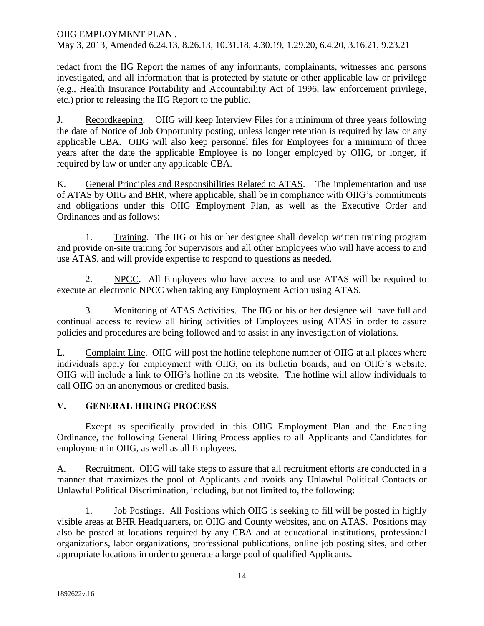redact from the IIG Report the names of any informants, complainants, witnesses and persons investigated, and all information that is protected by statute or other applicable law or privilege (e.g., Health Insurance Portability and Accountability Act of 1996, law enforcement privilege, etc.) prior to releasing the IIG Report to the public.

J. Recordkeeping. OIIG will keep Interview Files for a minimum of three years following the date of Notice of Job Opportunity posting, unless longer retention is required by law or any applicable CBA. OIIG will also keep personnel files for Employees for a minimum of three years after the date the applicable Employee is no longer employed by OIIG, or longer, if required by law or under any applicable CBA.

K. General Principles and Responsibilities Related to ATAS. The implementation and use of ATAS by OIIG and BHR, where applicable, shall be in compliance with OIIG's commitments and obligations under this OIIG Employment Plan, as well as the Executive Order and Ordinances and as follows:

1. Training. The IIG or his or her designee shall develop written training program and provide on-site training for Supervisors and all other Employees who will have access to and use ATAS, and will provide expertise to respond to questions as needed.

2. NPCC. All Employees who have access to and use ATAS will be required to execute an electronic NPCC when taking any Employment Action using ATAS.

3. Monitoring of ATAS Activities. The IIG or his or her designee will have full and continual access to review all hiring activities of Employees using ATAS in order to assure policies and procedures are being followed and to assist in any investigation of violations.

L. Complaint Line. OIIG will post the hotline telephone number of OIIG at all places where individuals apply for employment with OIIG, on its bulletin boards, and on OIIG's website. OIIG will include a link to OIIG's hotline on its website. The hotline will allow individuals to call OIIG on an anonymous or credited basis.

# **V. GENERAL HIRING PROCESS**

Except as specifically provided in this OIIG Employment Plan and the Enabling Ordinance, the following General Hiring Process applies to all Applicants and Candidates for employment in OIIG, as well as all Employees.

A. Recruitment. OIIG will take steps to assure that all recruitment efforts are conducted in a manner that maximizes the pool of Applicants and avoids any Unlawful Political Contacts or Unlawful Political Discrimination, including, but not limited to, the following:

1. Job Postings. All Positions which OIIG is seeking to fill will be posted in highly visible areas at BHR Headquarters, on OIIG and County websites, and on ATAS. Positions may also be posted at locations required by any CBA and at educational institutions, professional organizations, labor organizations, professional publications, online job posting sites, and other appropriate locations in order to generate a large pool of qualified Applicants.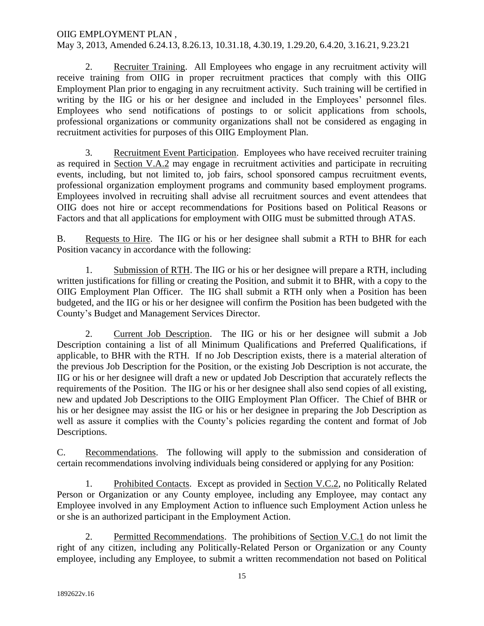2. Recruiter Training. All Employees who engage in any recruitment activity will receive training from OIIG in proper recruitment practices that comply with this OIIG Employment Plan prior to engaging in any recruitment activity. Such training will be certified in writing by the IIG or his or her designee and included in the Employees' personnel files. Employees who send notifications of postings to or solicit applications from schools, professional organizations or community organizations shall not be considered as engaging in recruitment activities for purposes of this OIIG Employment Plan.

3. Recruitment Event Participation. Employees who have received recruiter training as required in Section V.A.2 may engage in recruitment activities and participate in recruiting events, including, but not limited to, job fairs, school sponsored campus recruitment events, professional organization employment programs and community based employment programs. Employees involved in recruiting shall advise all recruitment sources and event attendees that OIIG does not hire or accept recommendations for Positions based on Political Reasons or Factors and that all applications for employment with OIIG must be submitted through ATAS.

B. Requests to Hire. The IIG or his or her designee shall submit a RTH to BHR for each Position vacancy in accordance with the following:

1. Submission of RTH. The IIG or his or her designee will prepare a RTH, including written justifications for filling or creating the Position, and submit it to BHR, with a copy to the OIIG Employment Plan Officer. The IIG shall submit a RTH only when a Position has been budgeted, and the IIG or his or her designee will confirm the Position has been budgeted with the County's Budget and Management Services Director.

2. Current Job Description. The IIG or his or her designee will submit a Job Description containing a list of all Minimum Qualifications and Preferred Qualifications, if applicable, to BHR with the RTH. If no Job Description exists, there is a material alteration of the previous Job Description for the Position, or the existing Job Description is not accurate, the IIG or his or her designee will draft a new or updated Job Description that accurately reflects the requirements of the Position. The IIG or his or her designee shall also send copies of all existing, new and updated Job Descriptions to the OIIG Employment Plan Officer. The Chief of BHR or his or her designee may assist the IIG or his or her designee in preparing the Job Description as well as assure it complies with the County's policies regarding the content and format of Job Descriptions.

C. Recommendations. The following will apply to the submission and consideration of certain recommendations involving individuals being considered or applying for any Position:

1. Prohibited Contacts. Except as provided in Section V.C.2, no Politically Related Person or Organization or any County employee, including any Employee, may contact any Employee involved in any Employment Action to influence such Employment Action unless he or she is an authorized participant in the Employment Action.

2. Permitted Recommendations. The prohibitions of Section V.C.1 do not limit the right of any citizen, including any Politically-Related Person or Organization or any County employee, including any Employee, to submit a written recommendation not based on Political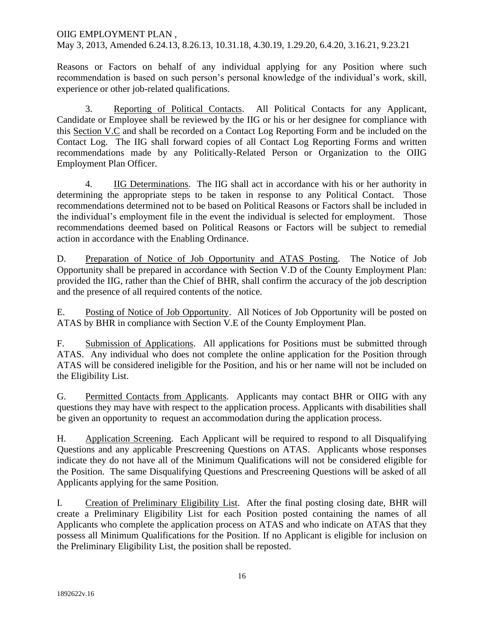May 3, 2013, Amended 6.24.13, 8.26.13, 10.31.18, 4.30.19, 1.29.20, 6.4.20, 3.16.21, 9.23.21

Reasons or Factors on behalf of any individual applying for any Position where such recommendation is based on such person's personal knowledge of the individual's work, skill, experience or other job-related qualifications.

3. Reporting of Political Contacts. All Political Contacts for any Applicant, Candidate or Employee shall be reviewed by the IIG or his or her designee for compliance with this Section V.C and shall be recorded on a Contact Log Reporting Form and be included on the Contact Log. The IIG shall forward copies of all Contact Log Reporting Forms and written recommendations made by any Politically-Related Person or Organization to the OIIG Employment Plan Officer.

4. IIG Determinations. The IIG shall act in accordance with his or her authority in determining the appropriate steps to be taken in response to any Political Contact. Those recommendations determined not to be based on Political Reasons or Factors shall be included in the individual's employment file in the event the individual is selected for employment. Those recommendations deemed based on Political Reasons or Factors will be subject to remedial action in accordance with the Enabling Ordinance.

D. Preparation of Notice of Job Opportunity and ATAS Posting. The Notice of Job Opportunity shall be prepared in accordance with Section V.D of the County Employment Plan: provided the IIG, rather than the Chief of BHR, shall confirm the accuracy of the job description and the presence of all required contents of the notice.

E. Posting of Notice of Job Opportunity. All Notices of Job Opportunity will be posted on ATAS by BHR in compliance with Section V.E of the County Employment Plan.

F. Submission of Applications. All applications for Positions must be submitted through ATAS. Any individual who does not complete the online application for the Position through ATAS will be considered ineligible for the Position, and his or her name will not be included on the Eligibility List.

G. Permitted Contacts from Applicants. Applicants may contact BHR or OIIG with any questions they may have with respect to the application process. Applicants with disabilities shall be given an opportunity to request an accommodation during the application process.

H. Application Screening. Each Applicant will be required to respond to all Disqualifying Questions and any applicable Prescreening Questions on ATAS. Applicants whose responses indicate they do not have all of the Minimum Qualifications will not be considered eligible for the Position. The same Disqualifying Questions and Prescreening Questions will be asked of all Applicants applying for the same Position.

I. Creation of Preliminary Eligibility List. After the final posting closing date, BHR will create a Preliminary Eligibility List for each Position posted containing the names of all Applicants who complete the application process on ATAS and who indicate on ATAS that they possess all Minimum Qualifications for the Position. If no Applicant is eligible for inclusion on the Preliminary Eligibility List, the position shall be reposted.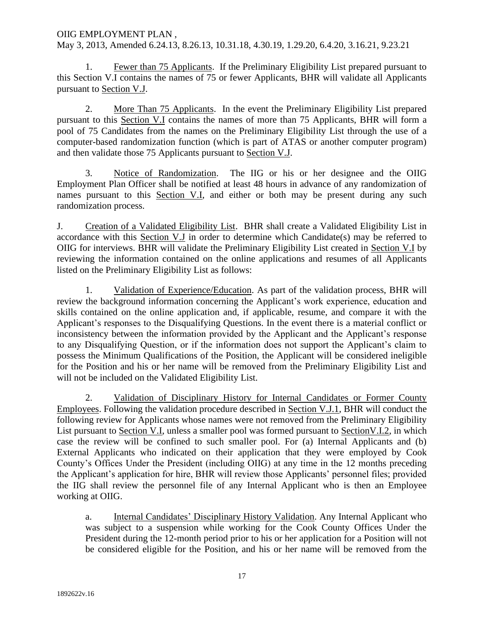1. Fewer than 75 Applicants. If the Preliminary Eligibility List prepared pursuant to this Section V.I contains the names of 75 or fewer Applicants, BHR will validate all Applicants pursuant to Section V.J.

2. More Than 75 Applicants. In the event the Preliminary Eligibility List prepared pursuant to this Section V.I contains the names of more than 75 Applicants, BHR will form a pool of 75 Candidates from the names on the Preliminary Eligibility List through the use of a computer-based randomization function (which is part of ATAS or another computer program) and then validate those 75 Applicants pursuant to Section V.J.

3. Notice of Randomization. The IIG or his or her designee and the OIIG Employment Plan Officer shall be notified at least 48 hours in advance of any randomization of names pursuant to this Section V.I, and either or both may be present during any such randomization process.

J. Creation of a Validated Eligibility List. BHR shall create a Validated Eligibility List in accordance with this Section V.J in order to determine which Candidate(s) may be referred to OIIG for interviews. BHR will validate the Preliminary Eligibility List created in Section V.I by reviewing the information contained on the online applications and resumes of all Applicants listed on the Preliminary Eligibility List as follows:

1. Validation of Experience/Education. As part of the validation process, BHR will review the background information concerning the Applicant's work experience, education and skills contained on the online application and, if applicable, resume, and compare it with the Applicant's responses to the Disqualifying Questions. In the event there is a material conflict or inconsistency between the information provided by the Applicant and the Applicant's response to any Disqualifying Question, or if the information does not support the Applicant's claim to possess the Minimum Qualifications of the Position, the Applicant will be considered ineligible for the Position and his or her name will be removed from the Preliminary Eligibility List and will not be included on the Validated Eligibility List.

2. Validation of Disciplinary History for Internal Candidates or Former County Employees. Following the validation procedure described in Section V.J.1, BHR will conduct the following review for Applicants whose names were not removed from the Preliminary Eligibility List pursuant to Section V.I, unless a smaller pool was formed pursuant to SectionV.I.2, in which case the review will be confined to such smaller pool. For (a) Internal Applicants and (b) External Applicants who indicated on their application that they were employed by Cook County's Offices Under the President (including OIIG) at any time in the 12 months preceding the Applicant's application for hire, BHR will review those Applicants' personnel files; provided the IIG shall review the personnel file of any Internal Applicant who is then an Employee working at OIIG.

a. Internal Candidates' Disciplinary History Validation. Any Internal Applicant who was subject to a suspension while working for the Cook County Offices Under the President during the 12-month period prior to his or her application for a Position will not be considered eligible for the Position, and his or her name will be removed from the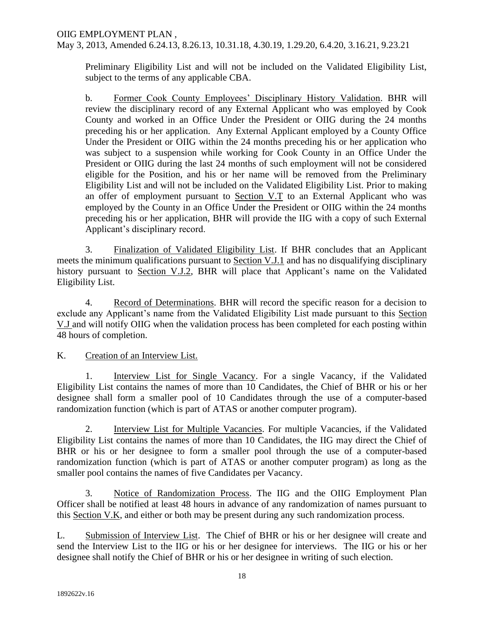May 3, 2013, Amended 6.24.13, 8.26.13, 10.31.18, 4.30.19, 1.29.20, 6.4.20, 3.16.21, 9.23.21

Preliminary Eligibility List and will not be included on the Validated Eligibility List, subject to the terms of any applicable CBA.

b. Former Cook County Employees' Disciplinary History Validation. BHR will review the disciplinary record of any External Applicant who was employed by Cook County and worked in an Office Under the President or OIIG during the 24 months preceding his or her application. Any External Applicant employed by a County Office Under the President or OIIG within the 24 months preceding his or her application who was subject to a suspension while working for Cook County in an Office Under the President or OIIG during the last 24 months of such employment will not be considered eligible for the Position, and his or her name will be removed from the Preliminary Eligibility List and will not be included on the Validated Eligibility List. Prior to making an offer of employment pursuant to Section V.T to an External Applicant who was employed by the County in an Office Under the President or OIIG within the 24 months preceding his or her application, BHR will provide the IIG with a copy of such External Applicant's disciplinary record.

3. Finalization of Validated Eligibility List. If BHR concludes that an Applicant meets the minimum qualifications pursuant to Section V.J.1 and has no disqualifying disciplinary history pursuant to Section V.J.2, BHR will place that Applicant's name on the Validated Eligibility List.

4. Record of Determinations. BHR will record the specific reason for a decision to exclude any Applicant's name from the Validated Eligibility List made pursuant to this Section V.J and will notify OIIG when the validation process has been completed for each posting within 48 hours of completion.

K. Creation of an Interview List.

1. Interview List for Single Vacancy. For a single Vacancy, if the Validated Eligibility List contains the names of more than 10 Candidates, the Chief of BHR or his or her designee shall form a smaller pool of 10 Candidates through the use of a computer-based randomization function (which is part of ATAS or another computer program).

2. Interview List for Multiple Vacancies. For multiple Vacancies, if the Validated Eligibility List contains the names of more than 10 Candidates, the IIG may direct the Chief of BHR or his or her designee to form a smaller pool through the use of a computer-based randomization function (which is part of ATAS or another computer program) as long as the smaller pool contains the names of five Candidates per Vacancy.

3. Notice of Randomization Process. The IIG and the OIIG Employment Plan Officer shall be notified at least 48 hours in advance of any randomization of names pursuant to this Section V.K, and either or both may be present during any such randomization process.

L. Submission of Interview List. The Chief of BHR or his or her designee will create and send the Interview List to the IIG or his or her designee for interviews. The IIG or his or her designee shall notify the Chief of BHR or his or her designee in writing of such election.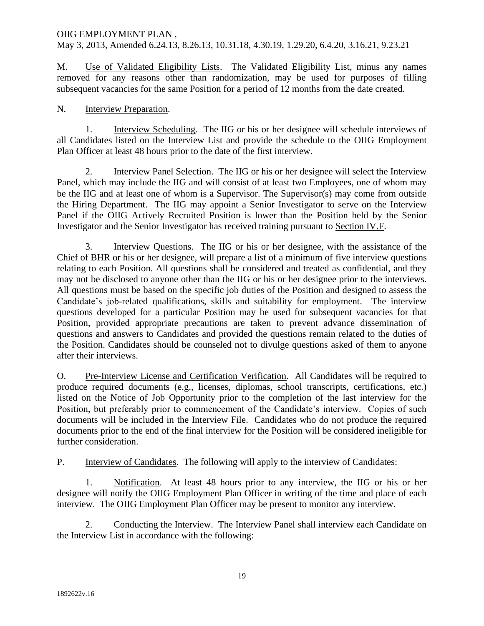May 3, 2013, Amended 6.24.13, 8.26.13, 10.31.18, 4.30.19, 1.29.20, 6.4.20, 3.16.21, 9.23.21

M. Use of Validated Eligibility Lists. The Validated Eligibility List, minus any names removed for any reasons other than randomization, may be used for purposes of filling subsequent vacancies for the same Position for a period of 12 months from the date created.

#### N. Interview Preparation.

1. Interview Scheduling. The IIG or his or her designee will schedule interviews of all Candidates listed on the Interview List and provide the schedule to the OIIG Employment Plan Officer at least 48 hours prior to the date of the first interview.

2. Interview Panel Selection. The IIG or his or her designee will select the Interview Panel, which may include the IIG and will consist of at least two Employees, one of whom may be the IIG and at least one of whom is a Supervisor. The Supervisor(s) may come from outside the Hiring Department. The IIG may appoint a Senior Investigator to serve on the Interview Panel if the OIIG Actively Recruited Position is lower than the Position held by the Senior Investigator and the Senior Investigator has received training pursuant to Section IV.F.

3. Interview Questions. The IIG or his or her designee, with the assistance of the Chief of BHR or his or her designee, will prepare a list of a minimum of five interview questions relating to each Position. All questions shall be considered and treated as confidential, and they may not be disclosed to anyone other than the IIG or his or her designee prior to the interviews. All questions must be based on the specific job duties of the Position and designed to assess the Candidate's job-related qualifications, skills and suitability for employment. The interview questions developed for a particular Position may be used for subsequent vacancies for that Position, provided appropriate precautions are taken to prevent advance dissemination of questions and answers to Candidates and provided the questions remain related to the duties of the Position. Candidates should be counseled not to divulge questions asked of them to anyone after their interviews.

O. Pre-Interview License and Certification Verification. All Candidates will be required to produce required documents (e.g., licenses, diplomas, school transcripts, certifications, etc.) listed on the Notice of Job Opportunity prior to the completion of the last interview for the Position, but preferably prior to commencement of the Candidate's interview. Copies of such documents will be included in the Interview File. Candidates who do not produce the required documents prior to the end of the final interview for the Position will be considered ineligible for further consideration.

P. Interview of Candidates. The following will apply to the interview of Candidates:

1. Notification. At least 48 hours prior to any interview, the IIG or his or her designee will notify the OIIG Employment Plan Officer in writing of the time and place of each interview. The OIIG Employment Plan Officer may be present to monitor any interview.

2. Conducting the Interview. The Interview Panel shall interview each Candidate on the Interview List in accordance with the following: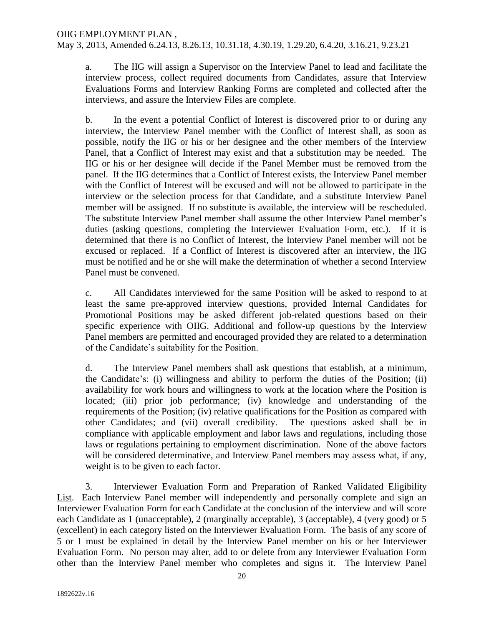May 3, 2013, Amended 6.24.13, 8.26.13, 10.31.18, 4.30.19, 1.29.20, 6.4.20, 3.16.21, 9.23.21

a. The IIG will assign a Supervisor on the Interview Panel to lead and facilitate the interview process, collect required documents from Candidates, assure that Interview Evaluations Forms and Interview Ranking Forms are completed and collected after the interviews, and assure the Interview Files are complete.

b. In the event a potential Conflict of Interest is discovered prior to or during any interview, the Interview Panel member with the Conflict of Interest shall, as soon as possible, notify the IIG or his or her designee and the other members of the Interview Panel, that a Conflict of Interest may exist and that a substitution may be needed. The IIG or his or her designee will decide if the Panel Member must be removed from the panel. If the IIG determines that a Conflict of Interest exists, the Interview Panel member with the Conflict of Interest will be excused and will not be allowed to participate in the interview or the selection process for that Candidate, and a substitute Interview Panel member will be assigned. If no substitute is available, the interview will be rescheduled. The substitute Interview Panel member shall assume the other Interview Panel member's duties (asking questions, completing the Interviewer Evaluation Form, etc.). If it is determined that there is no Conflict of Interest, the Interview Panel member will not be excused or replaced. If a Conflict of Interest is discovered after an interview, the IIG must be notified and he or she will make the determination of whether a second Interview Panel must be convened.

c. All Candidates interviewed for the same Position will be asked to respond to at least the same pre-approved interview questions, provided Internal Candidates for Promotional Positions may be asked different job-related questions based on their specific experience with OIIG. Additional and follow-up questions by the Interview Panel members are permitted and encouraged provided they are related to a determination of the Candidate's suitability for the Position.

d. The Interview Panel members shall ask questions that establish, at a minimum, the Candidate's: (i) willingness and ability to perform the duties of the Position; (ii) availability for work hours and willingness to work at the location where the Position is located; (iii) prior job performance; (iv) knowledge and understanding of the requirements of the Position; (iv) relative qualifications for the Position as compared with other Candidates; and (vii) overall credibility. The questions asked shall be in compliance with applicable employment and labor laws and regulations, including those laws or regulations pertaining to employment discrimination. None of the above factors will be considered determinative, and Interview Panel members may assess what, if any, weight is to be given to each factor.

3. Interviewer Evaluation Form and Preparation of Ranked Validated Eligibility List. Each Interview Panel member will independently and personally complete and sign an Interviewer Evaluation Form for each Candidate at the conclusion of the interview and will score each Candidate as 1 (unacceptable), 2 (marginally acceptable), 3 (acceptable), 4 (very good) or 5 (excellent) in each category listed on the Interviewer Evaluation Form. The basis of any score of 5 or 1 must be explained in detail by the Interview Panel member on his or her Interviewer Evaluation Form. No person may alter, add to or delete from any Interviewer Evaluation Form other than the Interview Panel member who completes and signs it. The Interview Panel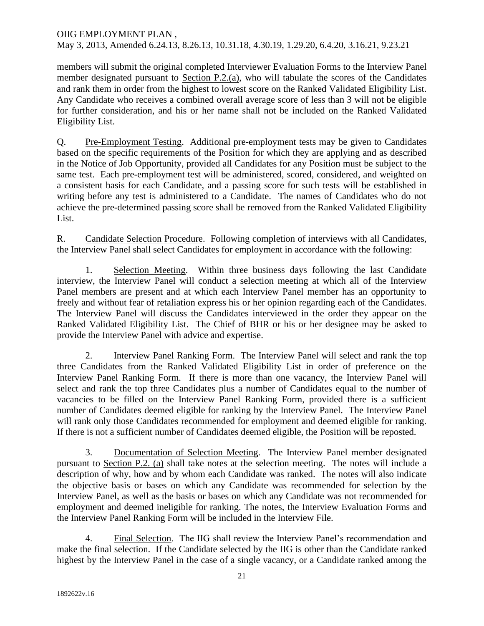members will submit the original completed Interviewer Evaluation Forms to the Interview Panel member designated pursuant to Section P.2.(a), who will tabulate the scores of the Candidates and rank them in order from the highest to lowest score on the Ranked Validated Eligibility List. Any Candidate who receives a combined overall average score of less than 3 will not be eligible for further consideration, and his or her name shall not be included on the Ranked Validated Eligibility List.

Q. Pre-Employment Testing. Additional pre-employment tests may be given to Candidates based on the specific requirements of the Position for which they are applying and as described in the Notice of Job Opportunity, provided all Candidates for any Position must be subject to the same test. Each pre-employment test will be administered, scored, considered, and weighted on a consistent basis for each Candidate, and a passing score for such tests will be established in writing before any test is administered to a Candidate. The names of Candidates who do not achieve the pre-determined passing score shall be removed from the Ranked Validated Eligibility List.

R. Candidate Selection Procedure. Following completion of interviews with all Candidates, the Interview Panel shall select Candidates for employment in accordance with the following:

1. Selection Meeting. Within three business days following the last Candidate interview, the Interview Panel will conduct a selection meeting at which all of the Interview Panel members are present and at which each Interview Panel member has an opportunity to freely and without fear of retaliation express his or her opinion regarding each of the Candidates. The Interview Panel will discuss the Candidates interviewed in the order they appear on the Ranked Validated Eligibility List. The Chief of BHR or his or her designee may be asked to provide the Interview Panel with advice and expertise.

2. Interview Panel Ranking Form. The Interview Panel will select and rank the top three Candidates from the Ranked Validated Eligibility List in order of preference on the Interview Panel Ranking Form. If there is more than one vacancy, the Interview Panel will select and rank the top three Candidates plus a number of Candidates equal to the number of vacancies to be filled on the Interview Panel Ranking Form, provided there is a sufficient number of Candidates deemed eligible for ranking by the Interview Panel. The Interview Panel will rank only those Candidates recommended for employment and deemed eligible for ranking. If there is not a sufficient number of Candidates deemed eligible, the Position will be reposted.

3. Documentation of Selection Meeting. The Interview Panel member designated pursuant to Section P.2. (a) shall take notes at the selection meeting. The notes will include a description of why, how and by whom each Candidate was ranked. The notes will also indicate the objective basis or bases on which any Candidate was recommended for selection by the Interview Panel, as well as the basis or bases on which any Candidate was not recommended for employment and deemed ineligible for ranking. The notes, the Interview Evaluation Forms and the Interview Panel Ranking Form will be included in the Interview File.

4. Final Selection. The IIG shall review the Interview Panel's recommendation and make the final selection. If the Candidate selected by the IIG is other than the Candidate ranked highest by the Interview Panel in the case of a single vacancy, or a Candidate ranked among the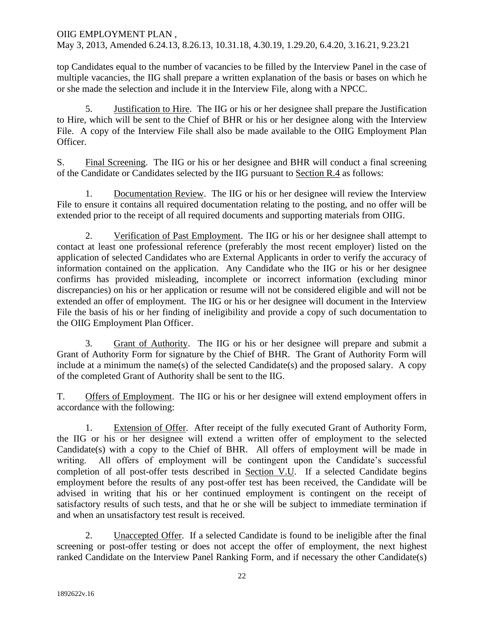top Candidates equal to the number of vacancies to be filled by the Interview Panel in the case of multiple vacancies, the IIG shall prepare a written explanation of the basis or bases on which he or she made the selection and include it in the Interview File, along with a NPCC.

5. Justification to Hire. The IIG or his or her designee shall prepare the Justification to Hire, which will be sent to the Chief of BHR or his or her designee along with the Interview File. A copy of the Interview File shall also be made available to the OIIG Employment Plan Officer.

S. Final Screening. The IIG or his or her designee and BHR will conduct a final screening of the Candidate or Candidates selected by the IIG pursuant to Section R.4 as follows:

1. Documentation Review. The IIG or his or her designee will review the Interview File to ensure it contains all required documentation relating to the posting, and no offer will be extended prior to the receipt of all required documents and supporting materials from OIIG.

2. Verification of Past Employment. The IIG or his or her designee shall attempt to contact at least one professional reference (preferably the most recent employer) listed on the application of selected Candidates who are External Applicants in order to verify the accuracy of information contained on the application. Any Candidate who the IIG or his or her designee confirms has provided misleading, incomplete or incorrect information (excluding minor discrepancies) on his or her application or resume will not be considered eligible and will not be extended an offer of employment. The IIG or his or her designee will document in the Interview File the basis of his or her finding of ineligibility and provide a copy of such documentation to the OIIG Employment Plan Officer.

3. Grant of Authority. The IIG or his or her designee will prepare and submit a Grant of Authority Form for signature by the Chief of BHR. The Grant of Authority Form will include at a minimum the name(s) of the selected Candidate(s) and the proposed salary. A copy of the completed Grant of Authority shall be sent to the IIG.

T. Offers of Employment. The IIG or his or her designee will extend employment offers in accordance with the following:

1. Extension of Offer. After receipt of the fully executed Grant of Authority Form, the IIG or his or her designee will extend a written offer of employment to the selected Candidate(s) with a copy to the Chief of BHR. All offers of employment will be made in writing. All offers of employment will be contingent upon the Candidate's successful completion of all post-offer tests described in Section V.U. If a selected Candidate begins employment before the results of any post-offer test has been received, the Candidate will be advised in writing that his or her continued employment is contingent on the receipt of satisfactory results of such tests, and that he or she will be subject to immediate termination if and when an unsatisfactory test result is received.

2. Unaccepted Offer. If a selected Candidate is found to be ineligible after the final screening or post-offer testing or does not accept the offer of employment, the next highest ranked Candidate on the Interview Panel Ranking Form, and if necessary the other Candidate(s)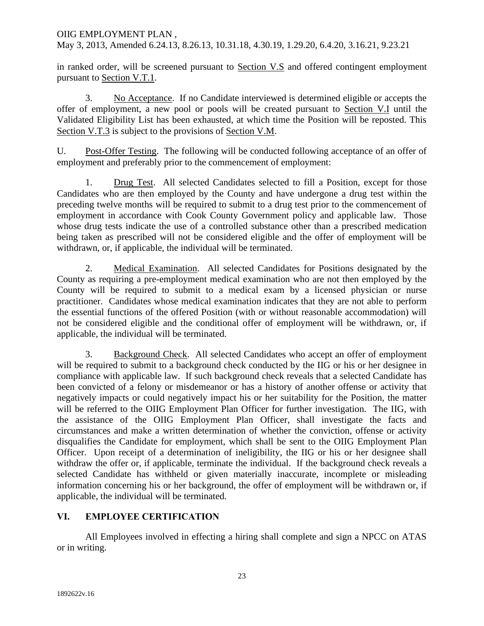in ranked order, will be screened pursuant to Section V.S and offered contingent employment pursuant to Section V.T.1.

3. No Acceptance. If no Candidate interviewed is determined eligible or accepts the offer of employment, a new pool or pools will be created pursuant to Section V.I until the Validated Eligibility List has been exhausted, at which time the Position will be reposted. This Section V.T.3 is subject to the provisions of Section V.M.

U. Post-Offer Testing. The following will be conducted following acceptance of an offer of employment and preferably prior to the commencement of employment:

1. Drug Test. All selected Candidates selected to fill a Position, except for those Candidates who are then employed by the County and have undergone a drug test within the preceding twelve months will be required to submit to a drug test prior to the commencement of employment in accordance with Cook County Government policy and applicable law. Those whose drug tests indicate the use of a controlled substance other than a prescribed medication being taken as prescribed will not be considered eligible and the offer of employment will be withdrawn, or, if applicable, the individual will be terminated.

2. Medical Examination. All selected Candidates for Positions designated by the County as requiring a pre-employment medical examination who are not then employed by the County will be required to submit to a medical exam by a licensed physician or nurse practitioner. Candidates whose medical examination indicates that they are not able to perform the essential functions of the offered Position (with or without reasonable accommodation) will not be considered eligible and the conditional offer of employment will be withdrawn, or, if applicable, the individual will be terminated.

3. Background Check. All selected Candidates who accept an offer of employment will be required to submit to a background check conducted by the IIG or his or her designee in compliance with applicable law. If such background check reveals that a selected Candidate has been convicted of a felony or misdemeanor or has a history of another offense or activity that negatively impacts or could negatively impact his or her suitability for the Position, the matter will be referred to the OIIG Employment Plan Officer for further investigation. The IIG, with the assistance of the OIIG Employment Plan Officer, shall investigate the facts and circumstances and make a written determination of whether the conviction, offense or activity disqualifies the Candidate for employment, which shall be sent to the OIIG Employment Plan Officer. Upon receipt of a determination of ineligibility, the IIG or his or her designee shall withdraw the offer or, if applicable, terminate the individual. If the background check reveals a selected Candidate has withheld or given materially inaccurate, incomplete or misleading information concerning his or her background, the offer of employment will be withdrawn or, if applicable, the individual will be terminated.

# **VI. EMPLOYEE CERTIFICATION**

All Employees involved in effecting a hiring shall complete and sign a NPCC on ATAS or in writing.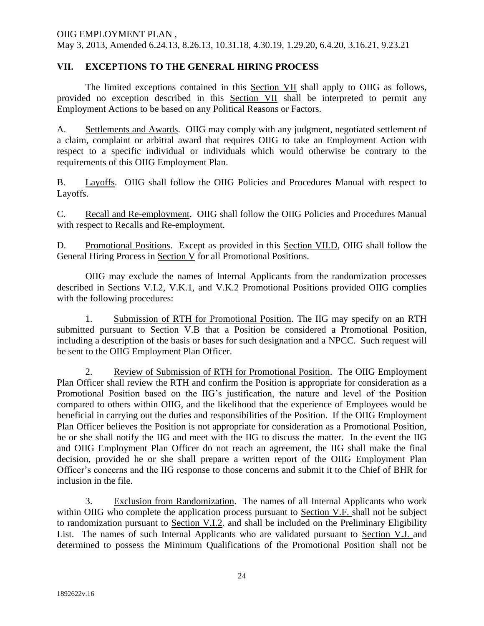# **VII. EXCEPTIONS TO THE GENERAL HIRING PROCESS**

The limited exceptions contained in this Section VII shall apply to OIIG as follows, provided no exception described in this Section VII shall be interpreted to permit any Employment Actions to be based on any Political Reasons or Factors.

A. Settlements and Awards. OIIG may comply with any judgment, negotiated settlement of a claim, complaint or arbitral award that requires OIIG to take an Employment Action with respect to a specific individual or individuals which would otherwise be contrary to the requirements of this OIIG Employment Plan.

B. Layoffs. OIIG shall follow the OIIG Policies and Procedures Manual with respect to Layoffs.

C. Recall and Re-employment. OIIG shall follow the OIIG Policies and Procedures Manual with respect to Recalls and Re-employment.

D. Promotional Positions. Except as provided in this Section VII.D, OIIG shall follow the General Hiring Process in Section V for all Promotional Positions.

OIIG may exclude the names of Internal Applicants from the randomization processes described in Sections V.I.2, V.K.1, and V.K.2 Promotional Positions provided OIIG complies with the following procedures:

1. Submission of RTH for Promotional Position. The IIG may specify on an RTH submitted pursuant to Section V.B that a Position be considered a Promotional Position, including a description of the basis or bases for such designation and a NPCC. Such request will be sent to the OIIG Employment Plan Officer.

2. Review of Submission of RTH for Promotional Position. The OIIG Employment Plan Officer shall review the RTH and confirm the Position is appropriate for consideration as a Promotional Position based on the IIG's justification, the nature and level of the Position compared to others within OIIG, and the likelihood that the experience of Employees would be beneficial in carrying out the duties and responsibilities of the Position. If the OIIG Employment Plan Officer believes the Position is not appropriate for consideration as a Promotional Position, he or she shall notify the IIG and meet with the IIG to discuss the matter. In the event the IIG and OIIG Employment Plan Officer do not reach an agreement, the IIG shall make the final decision, provided he or she shall prepare a written report of the OIIG Employment Plan Officer's concerns and the IIG response to those concerns and submit it to the Chief of BHR for inclusion in the file.

3. Exclusion from Randomization. The names of all Internal Applicants who work within OIIG who complete the application process pursuant to Section V.F. shall not be subject to randomization pursuant to Section V.I.2. and shall be included on the Preliminary Eligibility List. The names of such Internal Applicants who are validated pursuant to Section V.J. and determined to possess the Minimum Qualifications of the Promotional Position shall not be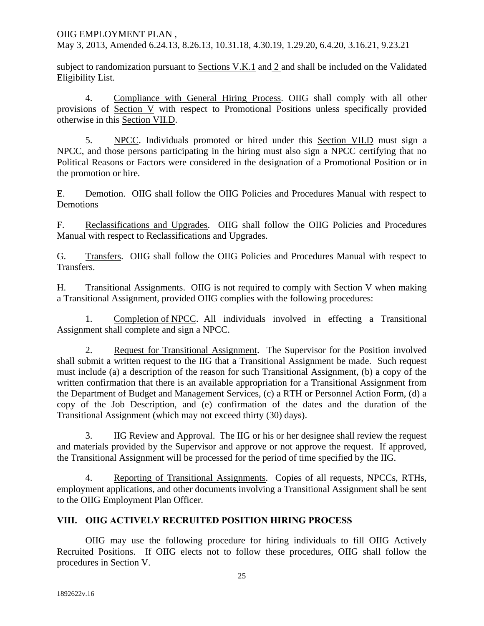subject to randomization pursuant to Sections V.K.1 and 2 and shall be included on the Validated Eligibility List.

4. Compliance with General Hiring Process. OIIG shall comply with all other provisions of Section V with respect to Promotional Positions unless specifically provided otherwise in this Section VII.D.

5. NPCC. Individuals promoted or hired under this Section VII.D must sign a NPCC, and those persons participating in the hiring must also sign a NPCC certifying that no Political Reasons or Factors were considered in the designation of a Promotional Position or in the promotion or hire.

E. Demotion. OIIG shall follow the OIIG Policies and Procedures Manual with respect to **Demotions** 

F. Reclassifications and Upgrades. OIIG shall follow the OIIG Policies and Procedures Manual with respect to Reclassifications and Upgrades.

G. Transfers. OIIG shall follow the OIIG Policies and Procedures Manual with respect to Transfers.

H. Transitional Assignments. OIIG is not required to comply with Section V when making a Transitional Assignment, provided OIIG complies with the following procedures:

1. Completion of NPCC. All individuals involved in effecting a Transitional Assignment shall complete and sign a NPCC.

2. Request for Transitional Assignment. The Supervisor for the Position involved shall submit a written request to the IIG that a Transitional Assignment be made. Such request must include (a) a description of the reason for such Transitional Assignment, (b) a copy of the written confirmation that there is an available appropriation for a Transitional Assignment from the Department of Budget and Management Services, (c) a RTH or Personnel Action Form, (d) a copy of the Job Description, and (e) confirmation of the dates and the duration of the Transitional Assignment (which may not exceed thirty (30) days).

3. IIG Review and Approval. The IIG or his or her designee shall review the request and materials provided by the Supervisor and approve or not approve the request. If approved, the Transitional Assignment will be processed for the period of time specified by the IIG.

4. Reporting of Transitional Assignments. Copies of all requests, NPCCs, RTHs, employment applications, and other documents involving a Transitional Assignment shall be sent to the OIIG Employment Plan Officer.

# **VIII. OIIG ACTIVELY RECRUITED POSITION HIRING PROCESS**

OIIG may use the following procedure for hiring individuals to fill OIIG Actively Recruited Positions. If OIIG elects not to follow these procedures, OIIG shall follow the procedures in Section V.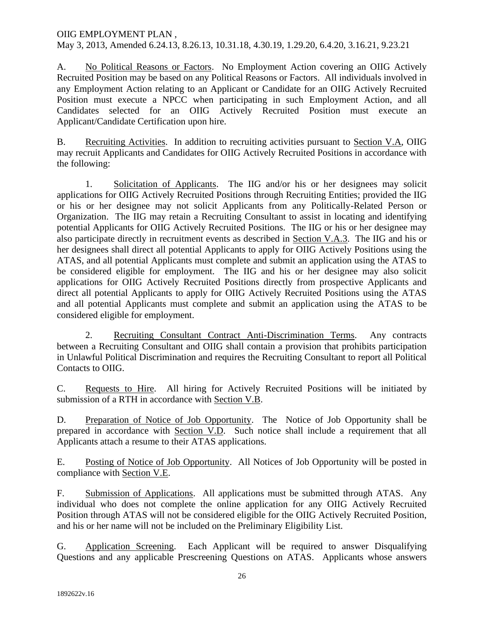May 3, 2013, Amended 6.24.13, 8.26.13, 10.31.18, 4.30.19, 1.29.20, 6.4.20, 3.16.21, 9.23.21

A. No Political Reasons or Factors. No Employment Action covering an OIIG Actively Recruited Position may be based on any Political Reasons or Factors. All individuals involved in any Employment Action relating to an Applicant or Candidate for an OIIG Actively Recruited Position must execute a NPCC when participating in such Employment Action, and all Candidates selected for an OIIG Actively Recruited Position must execute an Applicant/Candidate Certification upon hire.

B. Recruiting Activities. In addition to recruiting activities pursuant to Section V.A, OIIG may recruit Applicants and Candidates for OIIG Actively Recruited Positions in accordance with the following:

1. Solicitation of Applicants. The IIG and/or his or her designees may solicit applications for OIIG Actively Recruited Positions through Recruiting Entities; provided the IIG or his or her designee may not solicit Applicants from any Politically-Related Person or Organization. The IIG may retain a Recruiting Consultant to assist in locating and identifying potential Applicants for OIIG Actively Recruited Positions. The IIG or his or her designee may also participate directly in recruitment events as described in Section V.A.3. The IIG and his or her designees shall direct all potential Applicants to apply for OIIG Actively Positions using the ATAS, and all potential Applicants must complete and submit an application using the ATAS to be considered eligible for employment. The IIG and his or her designee may also solicit applications for OIIG Actively Recruited Positions directly from prospective Applicants and direct all potential Applicants to apply for OIIG Actively Recruited Positions using the ATAS and all potential Applicants must complete and submit an application using the ATAS to be considered eligible for employment.

2. Recruiting Consultant Contract Anti-Discrimination Terms. Any contracts between a Recruiting Consultant and OIIG shall contain a provision that prohibits participation in Unlawful Political Discrimination and requires the Recruiting Consultant to report all Political Contacts to OIIG.

C. Requests to Hire. All hiring for Actively Recruited Positions will be initiated by submission of a RTH in accordance with Section V.B.

D. Preparation of Notice of Job Opportunity. The Notice of Job Opportunity shall be prepared in accordance with Section V.D. Such notice shall include a requirement that all Applicants attach a resume to their ATAS applications.

E. Posting of Notice of Job Opportunity. All Notices of Job Opportunity will be posted in compliance with Section V.E.

F. Submission of Applications. All applications must be submitted through ATAS. Any individual who does not complete the online application for any OIIG Actively Recruited Position through ATAS will not be considered eligible for the OIIG Actively Recruited Position, and his or her name will not be included on the Preliminary Eligibility List.

G. Application Screening. Each Applicant will be required to answer Disqualifying Questions and any applicable Prescreening Questions on ATAS. Applicants whose answers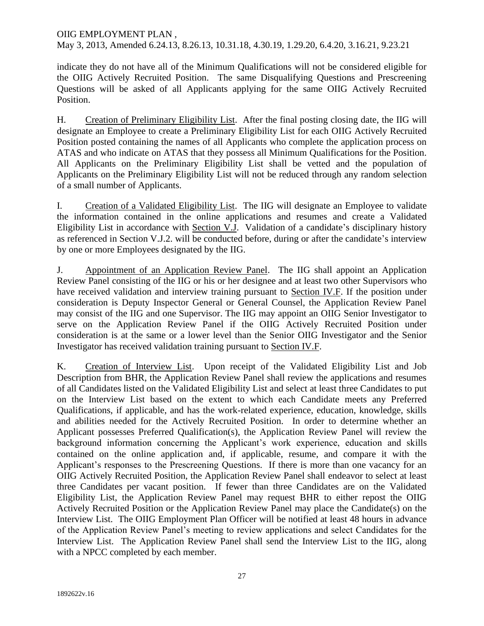indicate they do not have all of the Minimum Qualifications will not be considered eligible for the OIIG Actively Recruited Position. The same Disqualifying Questions and Prescreening Questions will be asked of all Applicants applying for the same OIIG Actively Recruited Position.

H. Creation of Preliminary Eligibility List. After the final posting closing date, the IIG will designate an Employee to create a Preliminary Eligibility List for each OIIG Actively Recruited Position posted containing the names of all Applicants who complete the application process on ATAS and who indicate on ATAS that they possess all Minimum Qualifications for the Position. All Applicants on the Preliminary Eligibility List shall be vetted and the population of Applicants on the Preliminary Eligibility List will not be reduced through any random selection of a small number of Applicants.

I. Creation of a Validated Eligibility List. The IIG will designate an Employee to validate the information contained in the online applications and resumes and create a Validated Eligibility List in accordance with Section V.J. Validation of a candidate's disciplinary history as referenced in Section V.J.2. will be conducted before, during or after the candidate's interview by one or more Employees designated by the IIG.

J. Appointment of an Application Review Panel. The IIG shall appoint an Application Review Panel consisting of the IIG or his or her designee and at least two other Supervisors who have received validation and interview training pursuant to Section IV.F. If the position under consideration is Deputy Inspector General or General Counsel, the Application Review Panel may consist of the IIG and one Supervisor. The IIG may appoint an OIIG Senior Investigator to serve on the Application Review Panel if the OIIG Actively Recruited Position under consideration is at the same or a lower level than the Senior OIIG Investigator and the Senior Investigator has received validation training pursuant to Section IV.F.

K. Creation of Interview List. Upon receipt of the Validated Eligibility List and Job Description from BHR, the Application Review Panel shall review the applications and resumes of all Candidates listed on the Validated Eligibility List and select at least three Candidates to put on the Interview List based on the extent to which each Candidate meets any Preferred Qualifications, if applicable, and has the work-related experience, education, knowledge, skills and abilities needed for the Actively Recruited Position. In order to determine whether an Applicant possesses Preferred Qualification(s), the Application Review Panel will review the background information concerning the Applicant's work experience, education and skills contained on the online application and, if applicable, resume, and compare it with the Applicant's responses to the Prescreening Questions. If there is more than one vacancy for an OIIG Actively Recruited Position, the Application Review Panel shall endeavor to select at least three Candidates per vacant position. If fewer than three Candidates are on the Validated Eligibility List, the Application Review Panel may request BHR to either repost the OIIG Actively Recruited Position or the Application Review Panel may place the Candidate(s) on the Interview List. The OIIG Employment Plan Officer will be notified at least 48 hours in advance of the Application Review Panel's meeting to review applications and select Candidates for the Interview List. The Application Review Panel shall send the Interview List to the IIG, along with a NPCC completed by each member.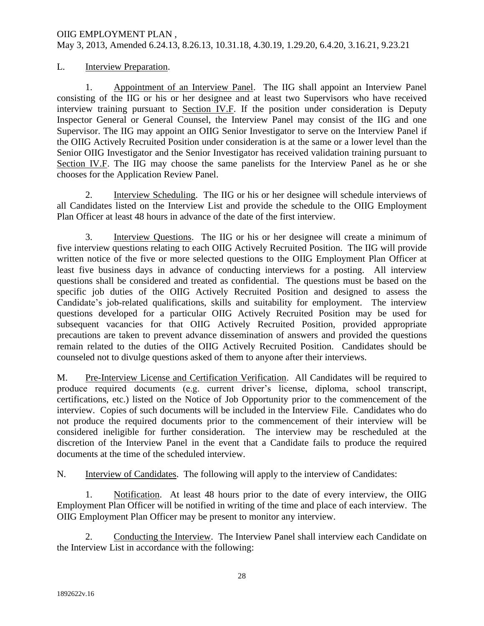### L. Interview Preparation.

1. Appointment of an Interview Panel. The IIG shall appoint an Interview Panel consisting of the IIG or his or her designee and at least two Supervisors who have received interview training pursuant to Section IV.F. If the position under consideration is Deputy Inspector General or General Counsel, the Interview Panel may consist of the IIG and one Supervisor. The IIG may appoint an OIIG Senior Investigator to serve on the Interview Panel if the OIIG Actively Recruited Position under consideration is at the same or a lower level than the Senior OIIG Investigator and the Senior Investigator has received validation training pursuant to Section IV.F. The IIG may choose the same panelists for the Interview Panel as he or she chooses for the Application Review Panel.

2. Interview Scheduling. The IIG or his or her designee will schedule interviews of all Candidates listed on the Interview List and provide the schedule to the OIIG Employment Plan Officer at least 48 hours in advance of the date of the first interview.

3. Interview Questions. The IIG or his or her designee will create a minimum of five interview questions relating to each OIIG Actively Recruited Position. The IIG will provide written notice of the five or more selected questions to the OIIG Employment Plan Officer at least five business days in advance of conducting interviews for a posting. All interview questions shall be considered and treated as confidential. The questions must be based on the specific job duties of the OIIG Actively Recruited Position and designed to assess the Candidate's job-related qualifications, skills and suitability for employment. The interview questions developed for a particular OIIG Actively Recruited Position may be used for subsequent vacancies for that OIIG Actively Recruited Position, provided appropriate precautions are taken to prevent advance dissemination of answers and provided the questions remain related to the duties of the OIIG Actively Recruited Position. Candidates should be counseled not to divulge questions asked of them to anyone after their interviews.

M. Pre-Interview License and Certification Verification. All Candidates will be required to produce required documents (e.g. current driver's license, diploma, school transcript, certifications, etc.) listed on the Notice of Job Opportunity prior to the commencement of the interview. Copies of such documents will be included in the Interview File. Candidates who do not produce the required documents prior to the commencement of their interview will be considered ineligible for further consideration. The interview may be rescheduled at the discretion of the Interview Panel in the event that a Candidate fails to produce the required documents at the time of the scheduled interview.

N. Interview of Candidates. The following will apply to the interview of Candidates:

1. Notification. At least 48 hours prior to the date of every interview, the OIIG Employment Plan Officer will be notified in writing of the time and place of each interview. The OIIG Employment Plan Officer may be present to monitor any interview.

2. Conducting the Interview. The Interview Panel shall interview each Candidate on the Interview List in accordance with the following: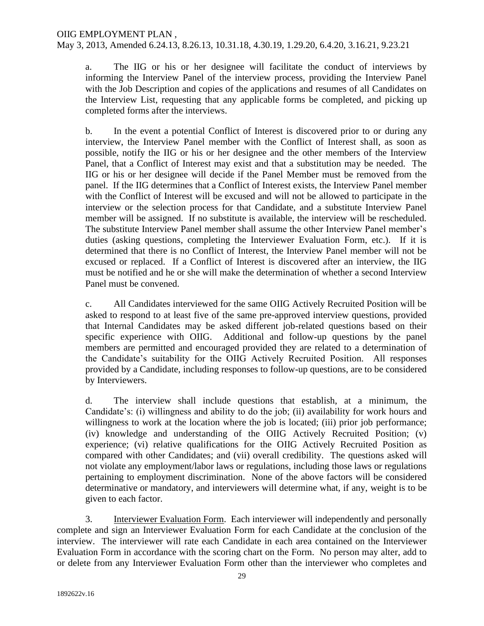a. The IIG or his or her designee will facilitate the conduct of interviews by informing the Interview Panel of the interview process, providing the Interview Panel with the Job Description and copies of the applications and resumes of all Candidates on the Interview List, requesting that any applicable forms be completed, and picking up completed forms after the interviews.

b. In the event a potential Conflict of Interest is discovered prior to or during any interview, the Interview Panel member with the Conflict of Interest shall, as soon as possible, notify the IIG or his or her designee and the other members of the Interview Panel, that a Conflict of Interest may exist and that a substitution may be needed. The IIG or his or her designee will decide if the Panel Member must be removed from the panel. If the IIG determines that a Conflict of Interest exists, the Interview Panel member with the Conflict of Interest will be excused and will not be allowed to participate in the interview or the selection process for that Candidate, and a substitute Interview Panel member will be assigned. If no substitute is available, the interview will be rescheduled. The substitute Interview Panel member shall assume the other Interview Panel member's duties (asking questions, completing the Interviewer Evaluation Form, etc.). If it is determined that there is no Conflict of Interest, the Interview Panel member will not be excused or replaced. If a Conflict of Interest is discovered after an interview, the IIG must be notified and he or she will make the determination of whether a second Interview Panel must be convened.

c. All Candidates interviewed for the same OIIG Actively Recruited Position will be asked to respond to at least five of the same pre-approved interview questions, provided that Internal Candidates may be asked different job-related questions based on their specific experience with OIIG. Additional and follow-up questions by the panel members are permitted and encouraged provided they are related to a determination of the Candidate's suitability for the OIIG Actively Recruited Position. All responses provided by a Candidate, including responses to follow-up questions, are to be considered by Interviewers.

d. The interview shall include questions that establish, at a minimum, the Candidate's: (i) willingness and ability to do the job; (ii) availability for work hours and willingness to work at the location where the job is located; (iii) prior job performance; (iv) knowledge and understanding of the OIIG Actively Recruited Position; (v) experience; (vi) relative qualifications for the OIIG Actively Recruited Position as compared with other Candidates; and (vii) overall credibility. The questions asked will not violate any employment/labor laws or regulations, including those laws or regulations pertaining to employment discrimination. None of the above factors will be considered determinative or mandatory, and interviewers will determine what, if any, weight is to be given to each factor.

3. Interviewer Evaluation Form. Each interviewer will independently and personally complete and sign an Interviewer Evaluation Form for each Candidate at the conclusion of the interview. The interviewer will rate each Candidate in each area contained on the Interviewer Evaluation Form in accordance with the scoring chart on the Form. No person may alter, add to or delete from any Interviewer Evaluation Form other than the interviewer who completes and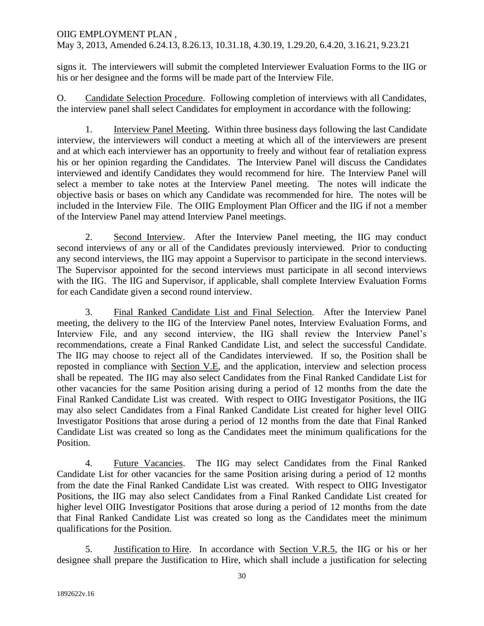signs it. The interviewers will submit the completed Interviewer Evaluation Forms to the IIG or his or her designee and the forms will be made part of the Interview File.

O. Candidate Selection Procedure. Following completion of interviews with all Candidates, the interview panel shall select Candidates for employment in accordance with the following:

1. Interview Panel Meeting. Within three business days following the last Candidate interview, the interviewers will conduct a meeting at which all of the interviewers are present and at which each interviewer has an opportunity to freely and without fear of retaliation express his or her opinion regarding the Candidates. The Interview Panel will discuss the Candidates interviewed and identify Candidates they would recommend for hire. The Interview Panel will select a member to take notes at the Interview Panel meeting. The notes will indicate the objective basis or bases on which any Candidate was recommended for hire. The notes will be included in the Interview File. The OIIG Employment Plan Officer and the IIG if not a member of the Interview Panel may attend Interview Panel meetings.

2. Second Interview. After the Interview Panel meeting, the IIG may conduct second interviews of any or all of the Candidates previously interviewed. Prior to conducting any second interviews, the IIG may appoint a Supervisor to participate in the second interviews. The Supervisor appointed for the second interviews must participate in all second interviews with the IIG. The IIG and Supervisor, if applicable, shall complete Interview Evaluation Forms for each Candidate given a second round interview.

3. Final Ranked Candidate List and Final Selection. After the Interview Panel meeting, the delivery to the IIG of the Interview Panel notes, Interview Evaluation Forms, and Interview File, and any second interview, the IIG shall review the Interview Panel's recommendations, create a Final Ranked Candidate List, and select the successful Candidate. The IIG may choose to reject all of the Candidates interviewed. If so, the Position shall be reposted in compliance with Section V.E, and the application, interview and selection process shall be repeated. The IIG may also select Candidates from the Final Ranked Candidate List for other vacancies for the same Position arising during a period of 12 months from the date the Final Ranked Candidate List was created. With respect to OIIG Investigator Positions, the IIG may also select Candidates from a Final Ranked Candidate List created for higher level OIIG Investigator Positions that arose during a period of 12 months from the date that Final Ranked Candidate List was created so long as the Candidates meet the minimum qualifications for the Position.

4. Future Vacancies. The IIG may select Candidates from the Final Ranked Candidate List for other vacancies for the same Position arising during a period of 12 months from the date the Final Ranked Candidate List was created. With respect to OIIG Investigator Positions, the IIG may also select Candidates from a Final Ranked Candidate List created for higher level OIIG Investigator Positions that arose during a period of 12 months from the date that Final Ranked Candidate List was created so long as the Candidates meet the minimum qualifications for the Position.

5. Justification to Hire. In accordance with Section V.R.5, the IIG or his or her designee shall prepare the Justification to Hire, which shall include a justification for selecting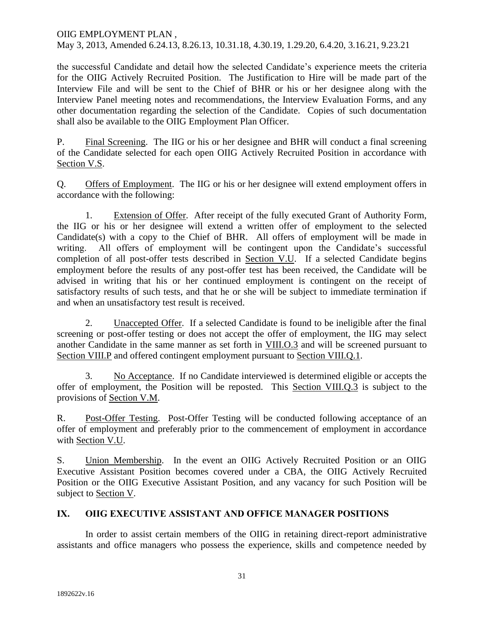the successful Candidate and detail how the selected Candidate's experience meets the criteria for the OIIG Actively Recruited Position. The Justification to Hire will be made part of the Interview File and will be sent to the Chief of BHR or his or her designee along with the Interview Panel meeting notes and recommendations, the Interview Evaluation Forms, and any other documentation regarding the selection of the Candidate. Copies of such documentation shall also be available to the OIIG Employment Plan Officer.

P. Final Screening. The IIG or his or her designee and BHR will conduct a final screening of the Candidate selected for each open OIIG Actively Recruited Position in accordance with Section V.S.

Q. Offers of Employment. The IIG or his or her designee will extend employment offers in accordance with the following:

1. Extension of Offer. After receipt of the fully executed Grant of Authority Form, the IIG or his or her designee will extend a written offer of employment to the selected Candidate(s) with a copy to the Chief of BHR. All offers of employment will be made in writing. All offers of employment will be contingent upon the Candidate's successful completion of all post-offer tests described in Section V.U. If a selected Candidate begins employment before the results of any post-offer test has been received, the Candidate will be advised in writing that his or her continued employment is contingent on the receipt of satisfactory results of such tests, and that he or she will be subject to immediate termination if and when an unsatisfactory test result is received.

2. Unaccepted Offer. If a selected Candidate is found to be ineligible after the final screening or post-offer testing or does not accept the offer of employment, the IIG may select another Candidate in the same manner as set forth in VIII.O.3 and will be screened pursuant to Section VIII.P and offered contingent employment pursuant to Section VIII.Q.1.

3. No Acceptance. If no Candidate interviewed is determined eligible or accepts the offer of employment, the Position will be reposted. This Section VIII.Q.3 is subject to the provisions of Section V.M.

R. Post-Offer Testing. Post-Offer Testing will be conducted following acceptance of an offer of employment and preferably prior to the commencement of employment in accordance with Section V.U.

S. Union Membership. In the event an OIIG Actively Recruited Position or an OIIG Executive Assistant Position becomes covered under a CBA, the OIIG Actively Recruited Position or the OIIG Executive Assistant Position, and any vacancy for such Position will be subject to Section V.

# **IX. OIIG EXECUTIVE ASSISTANT AND OFFICE MANAGER POSITIONS**

In order to assist certain members of the OIIG in retaining direct-report administrative assistants and office managers who possess the experience, skills and competence needed by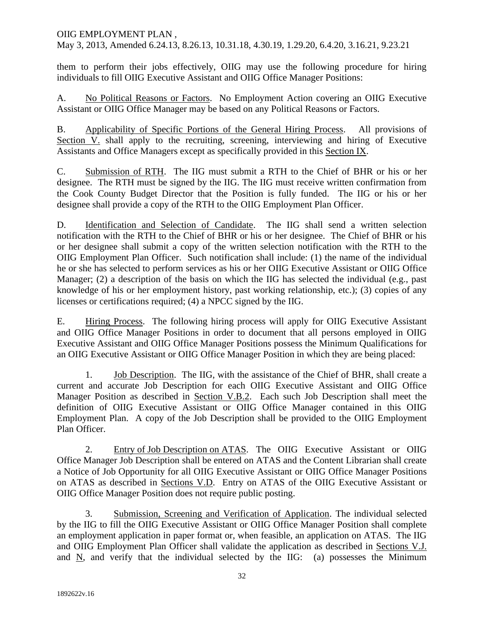them to perform their jobs effectively, OIIG may use the following procedure for hiring individuals to fill OIIG Executive Assistant and OIIG Office Manager Positions:

A. No Political Reasons or Factors. No Employment Action covering an OIIG Executive Assistant or OIIG Office Manager may be based on any Political Reasons or Factors.

B. Applicability of Specific Portions of the General Hiring Process. All provisions of Section V. shall apply to the recruiting, screening, interviewing and hiring of Executive Assistants and Office Managers except as specifically provided in this Section IX.

C. Submission of RTH. The IIG must submit a RTH to the Chief of BHR or his or her designee. The RTH must be signed by the IIG. The IIG must receive written confirmation from the Cook County Budget Director that the Position is fully funded. The IIG or his or her designee shall provide a copy of the RTH to the OIIG Employment Plan Officer.

D. Identification and Selection of Candidate. The IIG shall send a written selection notification with the RTH to the Chief of BHR or his or her designee. The Chief of BHR or his or her designee shall submit a copy of the written selection notification with the RTH to the OIIG Employment Plan Officer. Such notification shall include: (1) the name of the individual he or she has selected to perform services as his or her OIIG Executive Assistant or OIIG Office Manager; (2) a description of the basis on which the IIG has selected the individual (e.g., past knowledge of his or her employment history, past working relationship, etc.); (3) copies of any licenses or certifications required; (4) a NPCC signed by the IIG.

E. Hiring Process. The following hiring process will apply for OIIG Executive Assistant and OIIG Office Manager Positions in order to document that all persons employed in OIIG Executive Assistant and OIIG Office Manager Positions possess the Minimum Qualifications for an OIIG Executive Assistant or OIIG Office Manager Position in which they are being placed:

1. Job Description. The IIG, with the assistance of the Chief of BHR, shall create a current and accurate Job Description for each OIIG Executive Assistant and OIIG Office Manager Position as described in Section V.B.2. Each such Job Description shall meet the definition of OIIG Executive Assistant or OIIG Office Manager contained in this OIIG Employment Plan. A copy of the Job Description shall be provided to the OIIG Employment Plan Officer.

2. Entry of Job Description on ATAS. The OIIG Executive Assistant or OIIG Office Manager Job Description shall be entered on ATAS and the Content Librarian shall create a Notice of Job Opportunity for all OIIG Executive Assistant or OIIG Office Manager Positions on ATAS as described in Sections V.D. Entry on ATAS of the OIIG Executive Assistant or OIIG Office Manager Position does not require public posting.

3. Submission, Screening and Verification of Application. The individual selected by the IIG to fill the OIIG Executive Assistant or OIIG Office Manager Position shall complete an employment application in paper format or, when feasible, an application on ATAS. The IIG and OIIG Employment Plan Officer shall validate the application as described in Sections V.J. and N, and verify that the individual selected by the IIG: (a) possesses the Minimum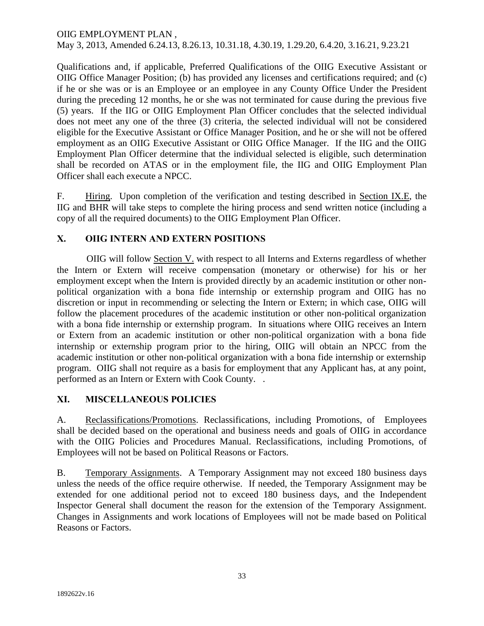Qualifications and, if applicable, Preferred Qualifications of the OIIG Executive Assistant or OIIG Office Manager Position; (b) has provided any licenses and certifications required; and (c) if he or she was or is an Employee or an employee in any County Office Under the President during the preceding 12 months, he or she was not terminated for cause during the previous five (5) years. If the IIG or OIIG Employment Plan Officer concludes that the selected individual does not meet any one of the three (3) criteria, the selected individual will not be considered eligible for the Executive Assistant or Office Manager Position, and he or she will not be offered employment as an OIIG Executive Assistant or OIIG Office Manager. If the IIG and the OIIG Employment Plan Officer determine that the individual selected is eligible, such determination shall be recorded on ATAS or in the employment file, the IIG and OIIG Employment Plan Officer shall each execute a NPCC.

F. Hiring. Upon completion of the verification and testing described in Section IX.E, the IIG and BHR will take steps to complete the hiring process and send written notice (including a copy of all the required documents) to the OIIG Employment Plan Officer.

# **X. OIIG INTERN AND EXTERN POSITIONS**

OIIG will follow Section V. with respect to all Interns and Externs regardless of whether the Intern or Extern will receive compensation (monetary or otherwise) for his or her employment except when the Intern is provided directly by an academic institution or other nonpolitical organization with a bona fide internship or externship program and OIIG has no discretion or input in recommending or selecting the Intern or Extern; in which case, OIIG will follow the placement procedures of the academic institution or other non-political organization with a bona fide internship or externship program. In situations where OIIG receives an Intern or Extern from an academic institution or other non-political organization with a bona fide internship or externship program prior to the hiring, OIIG will obtain an NPCC from the academic institution or other non-political organization with a bona fide internship or externship program. OIIG shall not require as a basis for employment that any Applicant has, at any point, performed as an Intern or Extern with Cook County. .

# **XI. MISCELLANEOUS POLICIES**

A. Reclassifications/Promotions. Reclassifications, including Promotions, of Employees shall be decided based on the operational and business needs and goals of OIIG in accordance with the OIIG Policies and Procedures Manual. Reclassifications, including Promotions, of Employees will not be based on Political Reasons or Factors.

B. Temporary Assignments. A Temporary Assignment may not exceed 180 business days unless the needs of the office require otherwise. If needed, the Temporary Assignment may be extended for one additional period not to exceed 180 business days, and the Independent Inspector General shall document the reason for the extension of the Temporary Assignment. Changes in Assignments and work locations of Employees will not be made based on Political Reasons or Factors.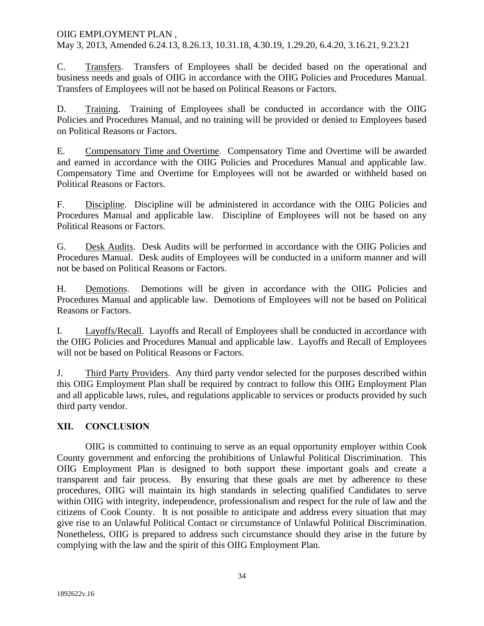May 3, 2013, Amended 6.24.13, 8.26.13, 10.31.18, 4.30.19, 1.29.20, 6.4.20, 3.16.21, 9.23.21

C. Transfers. Transfers of Employees shall be decided based on the operational and business needs and goals of OIIG in accordance with the OIIG Policies and Procedures Manual. Transfers of Employees will not be based on Political Reasons or Factors.

D. Training. Training of Employees shall be conducted in accordance with the OIIG Policies and Procedures Manual, and no training will be provided or denied to Employees based on Political Reasons or Factors.

E. Compensatory Time and Overtime. Compensatory Time and Overtime will be awarded and earned in accordance with the OIIG Policies and Procedures Manual and applicable law. Compensatory Time and Overtime for Employees will not be awarded or withheld based on Political Reasons or Factors.

F. Discipline. Discipline will be administered in accordance with the OIIG Policies and Procedures Manual and applicable law. Discipline of Employees will not be based on any Political Reasons or Factors.

G. Desk Audits. Desk Audits will be performed in accordance with the OIIG Policies and Procedures Manual. Desk audits of Employees will be conducted in a uniform manner and will not be based on Political Reasons or Factors.

H. Demotions. Demotions will be given in accordance with the OIIG Policies and Procedures Manual and applicable law. Demotions of Employees will not be based on Political Reasons or Factors.

I. Layoffs/Recall. Layoffs and Recall of Employees shall be conducted in accordance with the OIIG Policies and Procedures Manual and applicable law. Layoffs and Recall of Employees will not be based on Political Reasons or Factors.

J. Third Party Providers. Any third party vendor selected for the purposes described within this OIIG Employment Plan shall be required by contract to follow this OIIG Employment Plan and all applicable laws, rules, and regulations applicable to services or products provided by such third party vendor.

# **XII. CONCLUSION**

OIIG is committed to continuing to serve as an equal opportunity employer within Cook County government and enforcing the prohibitions of Unlawful Political Discrimination. This OIIG Employment Plan is designed to both support these important goals and create a transparent and fair process. By ensuring that these goals are met by adherence to these procedures, OIIG will maintain its high standards in selecting qualified Candidates to serve within OIIG with integrity, independence, professionalism and respect for the rule of law and the citizens of Cook County. It is not possible to anticipate and address every situation that may give rise to an Unlawful Political Contact or circumstance of Unlawful Political Discrimination. Nonetheless, OIIG is prepared to address such circumstance should they arise in the future by complying with the law and the spirit of this OIIG Employment Plan.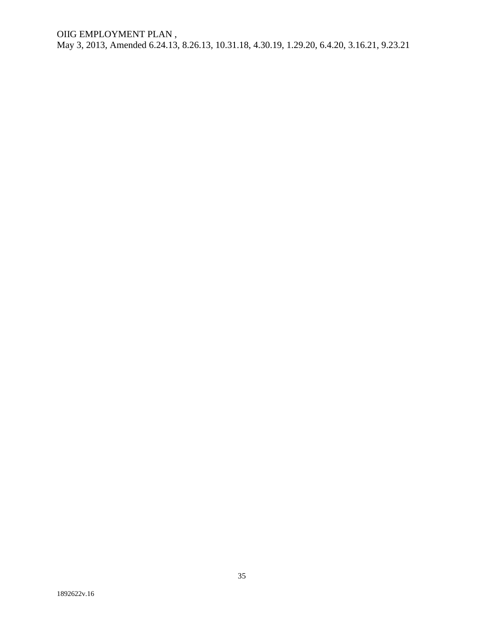May 3, 2013, Amended 6.24.13, 8.26.13, 10.31.18, 4.30.19, 1.29.20, 6.4.20, 3.16.21, 9.23.21